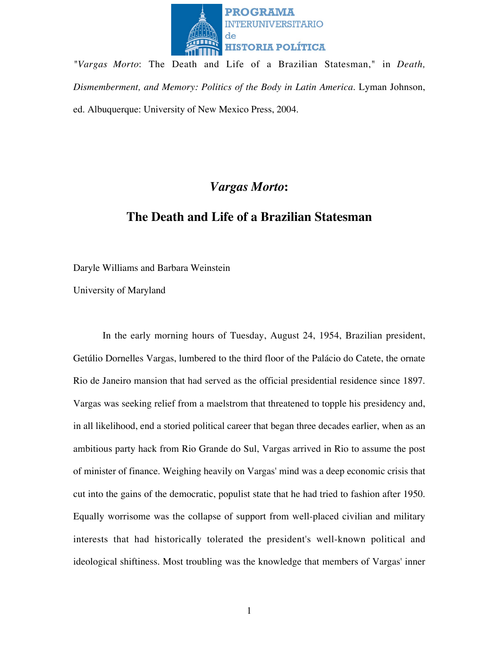

*"Vargas Morto*: The Death and Life of a Brazilian Statesman," in *Death, Dismemberment, and Memory: Politics of the Body in Latin America.* Lyman Johnson, ed. Albuquerque: University of New Mexico Press, 2004.

# *Vargas Morto***:**

# **The Death and Life of a Brazilian Statesman**

Daryle Williams and Barbara Weinstein

University of Maryland

In the early morning hours of Tuesday, August 24, 1954, Brazilian president, Getúlio Dornelles Vargas, lumbered to the third floor of the Palácio do Catete, the ornate Rio de Janeiro mansion that had served as the official presidential residence since 1897. Vargas was seeking relief from a maelstrom that threatened to topple his presidency and, in all likelihood, end a storied political career that began three decades earlier, when as an ambitious party hack from Rio Grande do Sul, Vargas arrived in Rio to assume the post of minister of finance. Weighing heavily on Vargas' mind was a deep economic crisis that cut into the gains of the democratic, populist state that he had tried to fashion after 1950. Equally worrisome was the collapse of support from well-placed civilian and military interests that had historically tolerated the president's well-known political and ideological shiftiness. Most troubling was the knowledge that members of Vargas' inner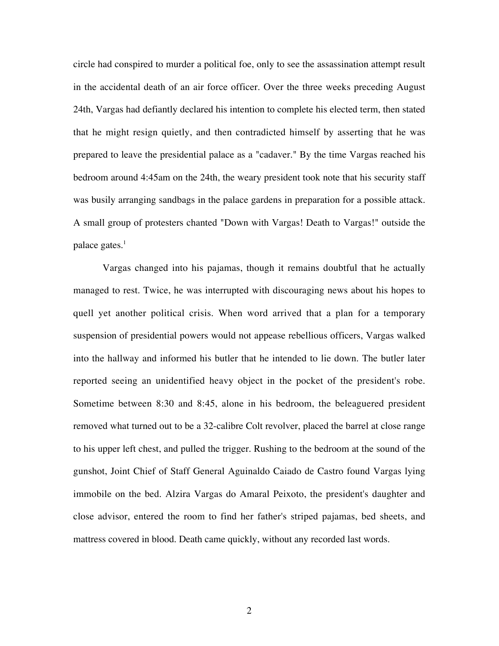circle had conspired to murder a political foe, only to see the assassination attempt result in the accidental death of an air force officer. Over the three weeks preceding August 24th, Vargas had defiantly declared his intention to complete his elected term, then stated that he might resign quietly, and then contradicted himself by asserting that he was prepared to leave the presidential palace as a "cadaver." By the time Vargas reached his bedroom around 4:45am on the 24th, the weary president took note that his security staff was busily arranging sandbags in the palace gardens in preparation for a possible attack. A small group of protesters chanted "Down with Vargas! Death to Vargas!" outside the palace gates. $<sup>1</sup>$ </sup>

Vargas changed into his pajamas, though it remains doubtful that he actually managed to rest. Twice, he was interrupted with discouraging news about his hopes to quell yet another political crisis. When word arrived that a plan for a temporary suspension of presidential powers would not appease rebellious officers, Vargas walked into the hallway and informed his butler that he intended to lie down. The butler later reported seeing an unidentified heavy object in the pocket of the president's robe. Sometime between 8:30 and 8:45, alone in his bedroom, the beleaguered president removed what turned out to be a 32-calibre Colt revolver, placed the barrel at close range to his upper left chest, and pulled the trigger. Rushing to the bedroom at the sound of the gunshot, Joint Chief of Staff General Aguinaldo Caiado de Castro found Vargas lying immobile on the bed. Alzira Vargas do Amaral Peixoto, the president's daughter and close advisor, entered the room to find her father's striped pajamas, bed sheets, and mattress covered in blood. Death came quickly, without any recorded last words.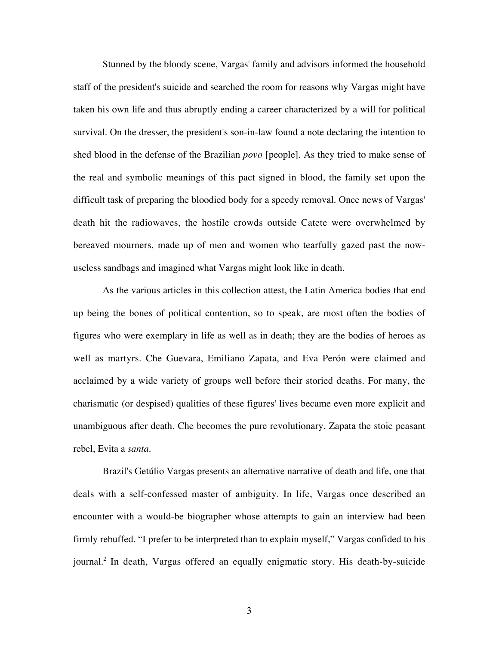Stunned by the bloody scene, Vargas' family and advisors informed the household staff of the president's suicide and searched the room for reasons why Vargas might have taken his own life and thus abruptly ending a career characterized by a will for political survival. On the dresser, the president's son-in-law found a note declaring the intention to shed blood in the defense of the Brazilian *povo* [people]. As they tried to make sense of the real and symbolic meanings of this pact signed in blood, the family set upon the difficult task of preparing the bloodied body for a speedy removal. Once news of Vargas' death hit the radiowaves, the hostile crowds outside Catete were overwhelmed by bereaved mourners, made up of men and women who tearfully gazed past the nowuseless sandbags and imagined what Vargas might look like in death.

As the various articles in this collection attest, the Latin America bodies that end up being the bones of political contention, so to speak, are most often the bodies of figures who were exemplary in life as well as in death; they are the bodies of heroes as well as martyrs. Che Guevara, Emiliano Zapata, and Eva Perón were claimed and acclaimed by a wide variety of groups well before their storied deaths. For many, the charismatic (or despised) qualities of these figures' lives became even more explicit and unambiguous after death. Che becomes the pure revolutionary, Zapata the stoic peasant rebel, Evita a *santa*.

Brazil's Getúlio Vargas presents an alternative narrative of death and life, one that deals with a self-confessed master of ambiguity. In life, Vargas once described an encounter with a would-be biographer whose attempts to gain an interview had been firmly rebuffed. "I prefer to be interpreted than to explain myself," Vargas confided to his journal.2 In death, Vargas offered an equally enigmatic story. His death-by-suicide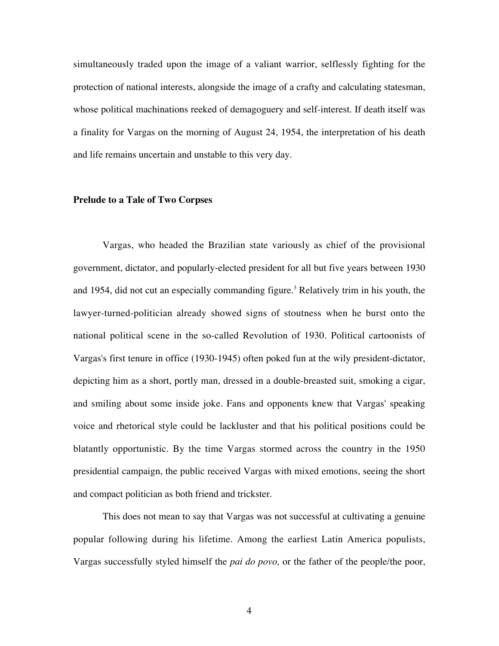simultaneously traded upon the image of a valiant warrior, selflessly fighting for the protection of national interests, alongside the image of a crafty and calculating statesman, whose political machinations reeked of demagoguery and self-interest. If death itself was a finality for Vargas on the morning of August 24, 1954, the interpretation of his death and life remains uncertain and unstable to this very day.

### **Prelude to a Tale of Two Corpses**

Vargas, who headed the Brazilian state variously as chief of the provisional government, dictator, and popularly-elected president for all but five years between 1930 and 1954, did not cut an especially commanding figure.<sup>3</sup> Relatively trim in his youth, the lawyer-turned-politician already showed signs of stoutness when he burst onto the national political scene in the so-called Revolution of 1930. Political cartoonists of Vargas's first tenure in office (1930-1945) often poked fun at the wily president-dictator, depicting him as a short, portly man, dressed in a double-breasted suit, smoking a cigar, and smiling about some inside joke. Fans and opponents knew that Vargas' speaking voice and rhetorical style could be lackluster and that his political positions could be blatantly opportunistic. By the time Vargas stormed across the country in the 1950 presidential campaign, the public received Vargas with mixed emotions, seeing the short and compact politician as both friend and trickster.

This does not mean to say that Vargas was not successful at cultivating a genuine popular following during his lifetime. Among the earliest Latin America populists, Vargas successfully styled himself the *pai do povo,* or the father of the people/the poor,

4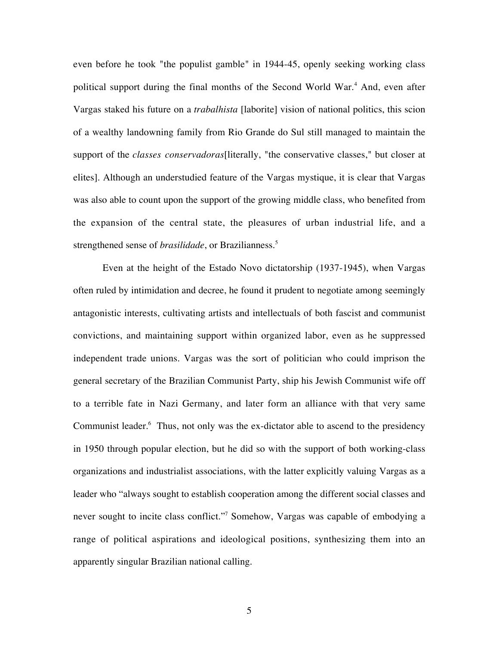even before he took "the populist gamble" in 1944-45, openly seeking working class political support during the final months of the Second World War.<sup>4</sup> And, even after Vargas staked his future on a *trabalhista* [laborite] vision of national politics, this scion of a wealthy landowning family from Rio Grande do Sul still managed to maintain the support of the *classes conservadoras*[literally, "the conservative classes," but closer at elites]. Although an understudied feature of the Vargas mystique, it is clear that Vargas was also able to count upon the support of the growing middle class, who benefited from the expansion of the central state, the pleasures of urban industrial life, and a strengthened sense of *brasilidade*, or Brazilianness.<sup>5</sup>

Even at the height of the Estado Novo dictatorship (1937-1945), when Vargas often ruled by intimidation and decree, he found it prudent to negotiate among seemingly antagonistic interests, cultivating artists and intellectuals of both fascist and communist convictions, and maintaining support within organized labor, even as he suppressed independent trade unions. Vargas was the sort of politician who could imprison the general secretary of the Brazilian Communist Party, ship his Jewish Communist wife off to a terrible fate in Nazi Germany, and later form an alliance with that very same Communist leader.<sup>6</sup> Thus, not only was the ex-dictator able to ascend to the presidency in 1950 through popular election, but he did so with the support of both working-class organizations and industrialist associations, with the latter explicitly valuing Vargas as a leader who "always sought to establish cooperation among the different social classes and never sought to incite class conflict."7 Somehow, Vargas was capable of embodying a range of political aspirations and ideological positions, synthesizing them into an apparently singular Brazilian national calling.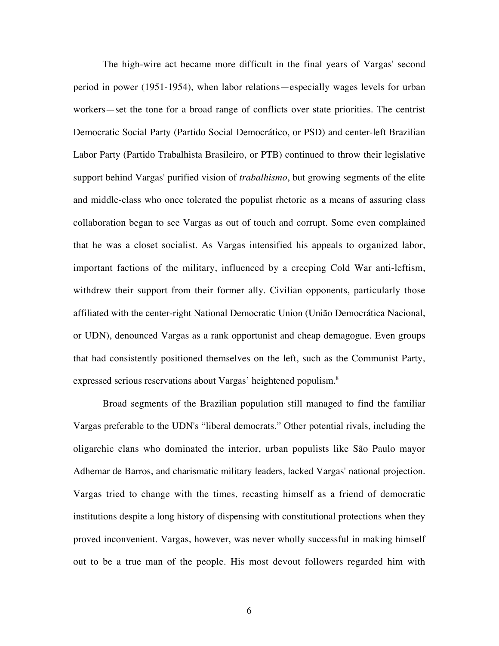The high-wire act became more difficult in the final years of Vargas' second period in power (1951-1954), when labor relations—especially wages levels for urban workers—set the tone for a broad range of conflicts over state priorities. The centrist Democratic Social Party (Partido Social Democrático, or PSD) and center-left Brazilian Labor Party (Partido Trabalhista Brasileiro, or PTB) continued to throw their legislative support behind Vargas' purified vision of *trabalhismo*, but growing segments of the elite and middle-class who once tolerated the populist rhetoric as a means of assuring class collaboration began to see Vargas as out of touch and corrupt. Some even complained that he was a closet socialist. As Vargas intensified his appeals to organized labor, important factions of the military, influenced by a creeping Cold War anti-leftism, withdrew their support from their former ally. Civilian opponents, particularly those affiliated with the center-right National Democratic Union (União Democrática Nacional, or UDN), denounced Vargas as a rank opportunist and cheap demagogue. Even groups that had consistently positioned themselves on the left, such as the Communist Party, expressed serious reservations about Vargas' heightened populism.<sup>8</sup>

Broad segments of the Brazilian population still managed to find the familiar Vargas preferable to the UDN's "liberal democrats." Other potential rivals, including the oligarchic clans who dominated the interior, urban populists like São Paulo mayor Adhemar de Barros, and charismatic military leaders, lacked Vargas' national projection. Vargas tried to change with the times, recasting himself as a friend of democratic institutions despite a long history of dispensing with constitutional protections when they proved inconvenient. Vargas, however, was never wholly successful in making himself out to be a true man of the people. His most devout followers regarded him with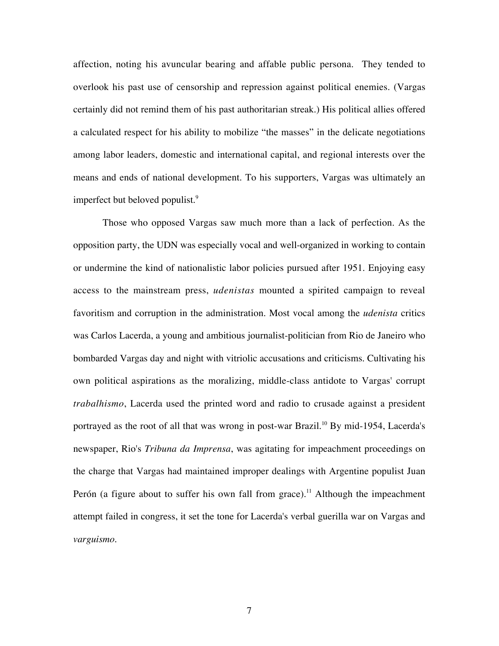affection, noting his avuncular bearing and affable public persona. They tended to overlook his past use of censorship and repression against political enemies. (Vargas certainly did not remind them of his past authoritarian streak.) His political allies offered a calculated respect for his ability to mobilize "the masses" in the delicate negotiations among labor leaders, domestic and international capital, and regional interests over the means and ends of national development. To his supporters, Vargas was ultimately an imperfect but beloved populist.<sup>9</sup>

Those who opposed Vargas saw much more than a lack of perfection. As the opposition party, the UDN was especially vocal and well-organized in working to contain or undermine the kind of nationalistic labor policies pursued after 1951. Enjoying easy access to the mainstream press, *udenistas* mounted a spirited campaign to reveal favoritism and corruption in the administration. Most vocal among the *udenista* critics was Carlos Lacerda, a young and ambitious journalist-politician from Rio de Janeiro who bombarded Vargas day and night with vitriolic accusations and criticisms. Cultivating his own political aspirations as the moralizing, middle-class antidote to Vargas' corrupt *trabalhismo*, Lacerda used the printed word and radio to crusade against a president portrayed as the root of all that was wrong in post-war Brazil.<sup>10</sup> By mid-1954, Lacerda's newspaper, Rio's *Tribuna da Imprensa*, was agitating for impeachment proceedings on the charge that Vargas had maintained improper dealings with Argentine populist Juan Perón (a figure about to suffer his own fall from grace).<sup>11</sup> Although the impeachment attempt failed in congress, it set the tone for Lacerda's verbal guerilla war on Vargas and *varguismo*.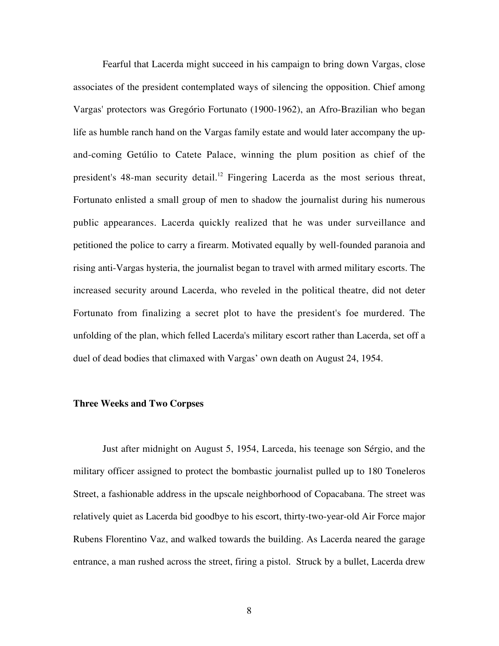Fearful that Lacerda might succeed in his campaign to bring down Vargas, close associates of the president contemplated ways of silencing the opposition. Chief among Vargas' protectors was Gregório Fortunato (1900-1962), an Afro-Brazilian who began life as humble ranch hand on the Vargas family estate and would later accompany the upand-coming Getúlio to Catete Palace, winning the plum position as chief of the president's 48-man security detail.<sup>12</sup> Fingering Lacerda as the most serious threat, Fortunato enlisted a small group of men to shadow the journalist during his numerous public appearances. Lacerda quickly realized that he was under surveillance and petitioned the police to carry a firearm. Motivated equally by well-founded paranoia and rising anti-Vargas hysteria, the journalist began to travel with armed military escorts. The increased security around Lacerda, who reveled in the political theatre, did not deter Fortunato from finalizing a secret plot to have the president's foe murdered. The unfolding of the plan, which felled Lacerda's military escort rather than Lacerda, set off a duel of dead bodies that climaxed with Vargas' own death on August 24, 1954.

## **Three Weeks and Two Corpses**

Just after midnight on August 5, 1954, Larceda, his teenage son Sérgio, and the military officer assigned to protect the bombastic journalist pulled up to 180 Toneleros Street, a fashionable address in the upscale neighborhood of Copacabana. The street was relatively quiet as Lacerda bid goodbye to his escort, thirty-two-year-old Air Force major Rubens Florentino Vaz, and walked towards the building. As Lacerda neared the garage entrance, a man rushed across the street, firing a pistol. Struck by a bullet, Lacerda drew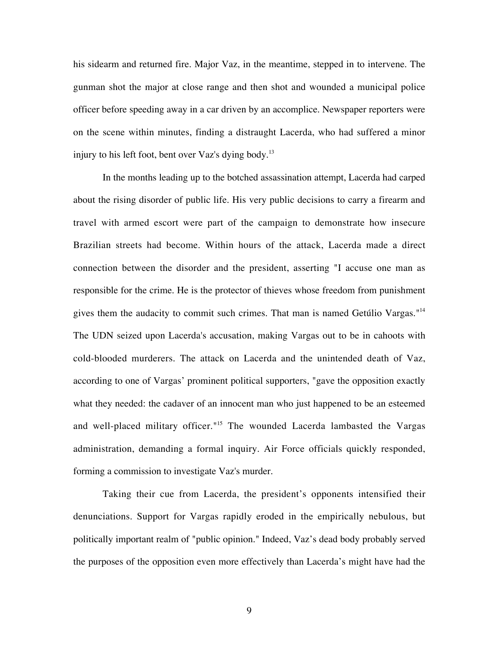his sidearm and returned fire. Major Vaz, in the meantime, stepped in to intervene. The gunman shot the major at close range and then shot and wounded a municipal police officer before speeding away in a car driven by an accomplice. Newspaper reporters were on the scene within minutes, finding a distraught Lacerda, who had suffered a minor injury to his left foot, bent over Vaz's dying body.<sup>13</sup>

In the months leading up to the botched assassination attempt, Lacerda had carped about the rising disorder of public life. His very public decisions to carry a firearm and travel with armed escort were part of the campaign to demonstrate how insecure Brazilian streets had become. Within hours of the attack, Lacerda made a direct connection between the disorder and the president, asserting "I accuse one man as responsible for the crime. He is the protector of thieves whose freedom from punishment gives them the audacity to commit such crimes. That man is named Getúlio Vargas."<sup>14</sup> The UDN seized upon Lacerda's accusation, making Vargas out to be in cahoots with cold-blooded murderers. The attack on Lacerda and the unintended death of Vaz, according to one of Vargas' prominent political supporters, "gave the opposition exactly what they needed: the cadaver of an innocent man who just happened to be an esteemed and well-placed military officer."<sup>15</sup> The wounded Lacerda lambasted the Vargas administration, demanding a formal inquiry. Air Force officials quickly responded, forming a commission to investigate Vaz's murder.

Taking their cue from Lacerda, the president's opponents intensified their denunciations. Support for Vargas rapidly eroded in the empirically nebulous, but politically important realm of "public opinion." Indeed, Vaz's dead body probably served the purposes of the opposition even more effectively than Lacerda's might have had the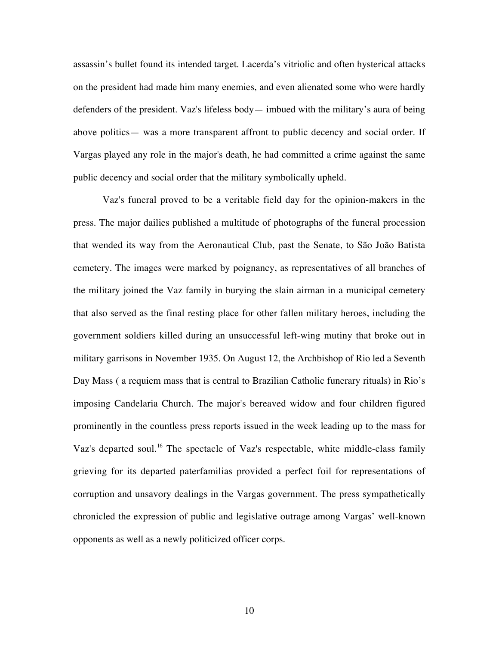assassin's bullet found its intended target. Lacerda's vitriolic and often hysterical attacks on the president had made him many enemies, and even alienated some who were hardly defenders of the president. Vaz's lifeless body— imbued with the military's aura of being above politics— was a more transparent affront to public decency and social order. If Vargas played any role in the major's death, he had committed a crime against the same public decency and social order that the military symbolically upheld.

Vaz's funeral proved to be a veritable field day for the opinion-makers in the press. The major dailies published a multitude of photographs of the funeral procession that wended its way from the Aeronautical Club, past the Senate, to São João Batista cemetery. The images were marked by poignancy, as representatives of all branches of the military joined the Vaz family in burying the slain airman in a municipal cemetery that also served as the final resting place for other fallen military heroes, including the government soldiers killed during an unsuccessful left-wing mutiny that broke out in military garrisons in November 1935. On August 12, the Archbishop of Rio led a Seventh Day Mass ( a requiem mass that is central to Brazilian Catholic funerary rituals) in Rio's imposing Candelaria Church. The major's bereaved widow and four children figured prominently in the countless press reports issued in the week leading up to the mass for Vaz's departed soul.<sup>16</sup> The spectacle of Vaz's respectable, white middle-class family grieving for its departed paterfamilias provided a perfect foil for representations of corruption and unsavory dealings in the Vargas government. The press sympathetically chronicled the expression of public and legislative outrage among Vargas' well-known opponents as well as a newly politicized officer corps.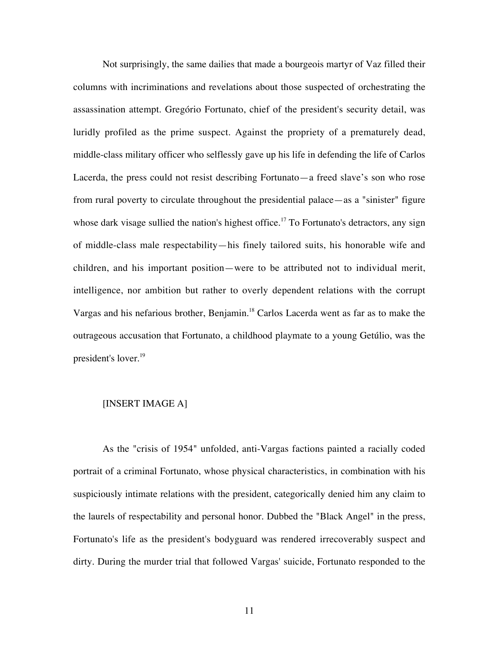Not surprisingly, the same dailies that made a bourgeois martyr of Vaz filled their columns with incriminations and revelations about those suspected of orchestrating the assassination attempt. Gregório Fortunato, chief of the president's security detail, was luridly profiled as the prime suspect. Against the propriety of a prematurely dead, middle-class military officer who selflessly gave up his life in defending the life of Carlos Lacerda, the press could not resist describing Fortunato—a freed slave's son who rose from rural poverty to circulate throughout the presidential palace—as a "sinister" figure whose dark visage sullied the nation's highest office.<sup>17</sup> To Fortunato's detractors, any sign of middle-class male respectability—his finely tailored suits, his honorable wife and children, and his important position—were to be attributed not to individual merit, intelligence, nor ambition but rather to overly dependent relations with the corrupt Vargas and his nefarious brother, Benjamin.18 Carlos Lacerda went as far as to make the outrageous accusation that Fortunato, a childhood playmate to a young Getúlio, was the president's lover.<sup>19</sup>

## [INSERT IMAGE A]

As the "crisis of 1954" unfolded, anti-Vargas factions painted a racially coded portrait of a criminal Fortunato, whose physical characteristics, in combination with his suspiciously intimate relations with the president, categorically denied him any claim to the laurels of respectability and personal honor. Dubbed the "Black Angel" in the press, Fortunato's life as the president's bodyguard was rendered irrecoverably suspect and dirty. During the murder trial that followed Vargas' suicide, Fortunato responded to the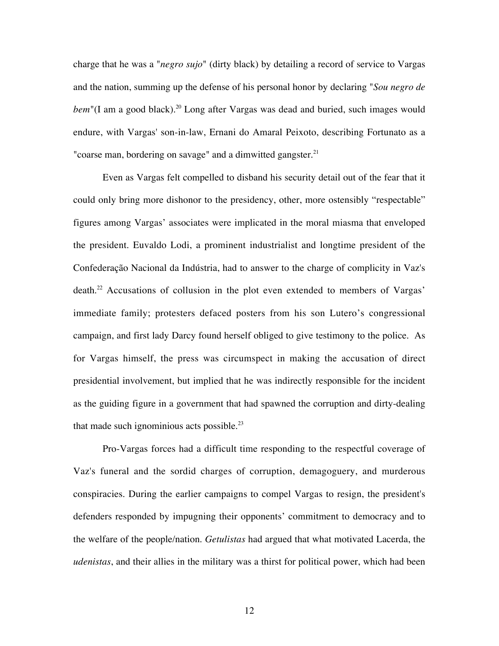charge that he was a "*negro sujo*" (dirty black) by detailing a record of service to Vargas and the nation, summing up the defense of his personal honor by declaring "*Sou negro de bem*"(I am a good black).<sup>20</sup> Long after Vargas was dead and buried, such images would endure, with Vargas' son-in-law, Ernani do Amaral Peixoto, describing Fortunato as a "coarse man, bordering on savage" and a dimwitted gangster.<sup>21</sup>

Even as Vargas felt compelled to disband his security detail out of the fear that it could only bring more dishonor to the presidency, other, more ostensibly "respectable" figures among Vargas' associates were implicated in the moral miasma that enveloped the president. Euvaldo Lodi, a prominent industrialist and longtime president of the Confederação Nacional da Indústria, had to answer to the charge of complicity in Vaz's death.<sup>22</sup> Accusations of collusion in the plot even extended to members of Vargas' immediate family; protesters defaced posters from his son Lutero's congressional campaign, and first lady Darcy found herself obliged to give testimony to the police. As for Vargas himself, the press was circumspect in making the accusation of direct presidential involvement, but implied that he was indirectly responsible for the incident as the guiding figure in a government that had spawned the corruption and dirty-dealing that made such ignominious acts possible. $^{23}$ 

Pro-Vargas forces had a difficult time responding to the respectful coverage of Vaz's funeral and the sordid charges of corruption, demagoguery, and murderous conspiracies. During the earlier campaigns to compel Vargas to resign, the president's defenders responded by impugning their opponents' commitment to democracy and to the welfare of the people/nation. *Getulistas* had argued that what motivated Lacerda, the *udenistas*, and their allies in the military was a thirst for political power, which had been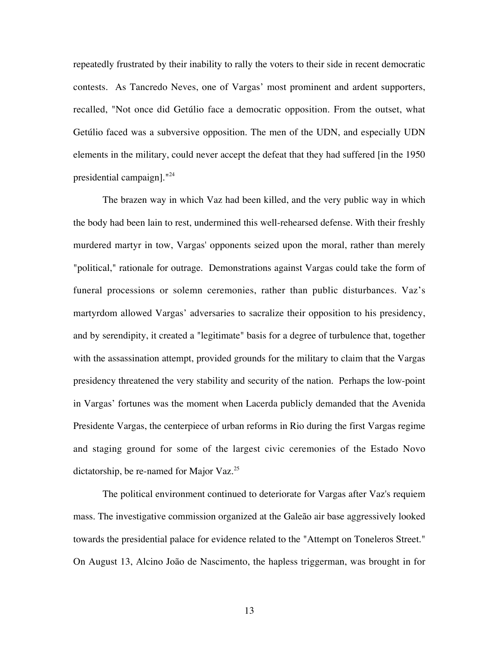repeatedly frustrated by their inability to rally the voters to their side in recent democratic contests. As Tancredo Neves, one of Vargas' most prominent and ardent supporters, recalled, "Not once did Getúlio face a democratic opposition. From the outset, what Getúlio faced was a subversive opposition. The men of the UDN, and especially UDN elements in the military, could never accept the defeat that they had suffered [in the 1950 presidential campaign]."<sup>24</sup>

The brazen way in which Vaz had been killed, and the very public way in which the body had been lain to rest, undermined this well-rehearsed defense. With their freshly murdered martyr in tow, Vargas' opponents seized upon the moral, rather than merely "political," rationale for outrage. Demonstrations against Vargas could take the form of funeral processions or solemn ceremonies, rather than public disturbances. Vaz's martyrdom allowed Vargas' adversaries to sacralize their opposition to his presidency, and by serendipity, it created a "legitimate" basis for a degree of turbulence that, together with the assassination attempt, provided grounds for the military to claim that the Vargas presidency threatened the very stability and security of the nation. Perhaps the low-point in Vargas' fortunes was the moment when Lacerda publicly demanded that the Avenida Presidente Vargas, the centerpiece of urban reforms in Rio during the first Vargas regime and staging ground for some of the largest civic ceremonies of the Estado Novo dictatorship, be re-named for Major Vaz.<sup>25</sup>

The political environment continued to deteriorate for Vargas after Vaz's requiem mass. The investigative commission organized at the Galeão air base aggressively looked towards the presidential palace for evidence related to the "Attempt on Toneleros Street." On August 13, Alcino João de Nascimento, the hapless triggerman, was brought in for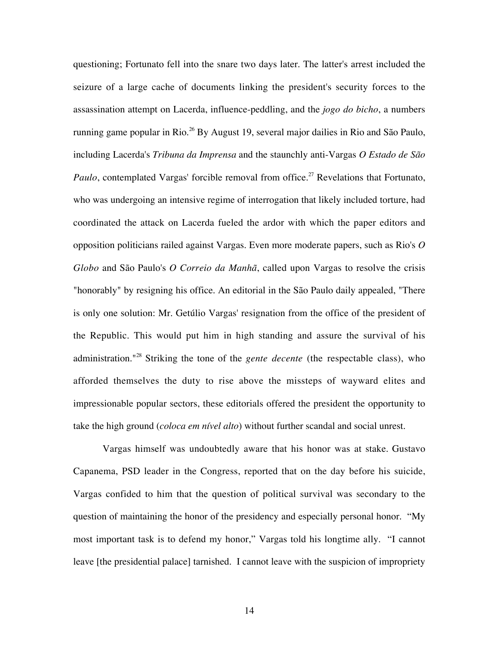questioning; Fortunato fell into the snare two days later. The latter's arrest included the seizure of a large cache of documents linking the president's security forces to the assassination attempt on Lacerda, influence-peddling, and the *jogo do bicho*, a numbers running game popular in Rio.<sup>26</sup> By August 19, several major dailies in Rio and São Paulo, including Lacerda's *Tribuna da Imprensa* and the staunchly anti-Vargas *O Estado de São Paulo*, contemplated Vargas' forcible removal from office.<sup>27</sup> Revelations that Fortunato, who was undergoing an intensive regime of interrogation that likely included torture, had coordinated the attack on Lacerda fueled the ardor with which the paper editors and opposition politicians railed against Vargas. Even more moderate papers, such as Rio's *O Globo* and São Paulo's *O Correio da Manhã*, called upon Vargas to resolve the crisis "honorably" by resigning his office. An editorial in the São Paulo daily appealed, "There is only one solution: Mr. Getúlio Vargas' resignation from the office of the president of the Republic. This would put him in high standing and assure the survival of his administration."<sup>28</sup> Striking the tone of the *gente decente* (the respectable class), who afforded themselves the duty to rise above the missteps of wayward elites and impressionable popular sectors, these editorials offered the president the opportunity to take the high ground (*coloca em nível alto*) without further scandal and social unrest.

Vargas himself was undoubtedly aware that his honor was at stake. Gustavo Capanema, PSD leader in the Congress, reported that on the day before his suicide, Vargas confided to him that the question of political survival was secondary to the question of maintaining the honor of the presidency and especially personal honor. "My most important task is to defend my honor," Vargas told his longtime ally. "I cannot leave [the presidential palace] tarnished. I cannot leave with the suspicion of impropriety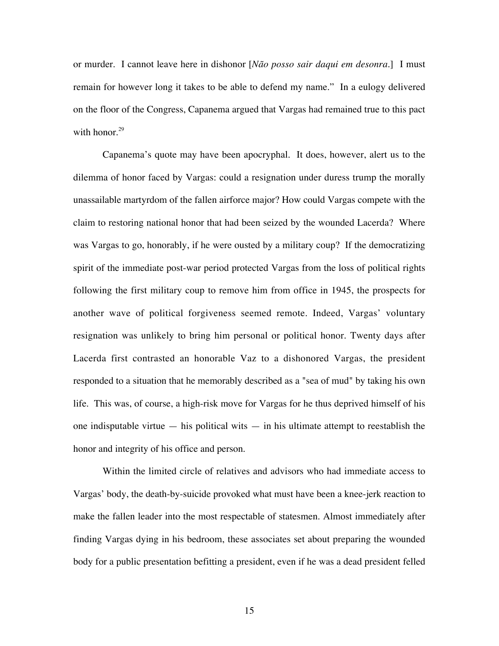or murder. I cannot leave here in dishonor [*Não posso sair daqui em desonra.*] I must remain for however long it takes to be able to defend my name." In a eulogy delivered on the floor of the Congress, Capanema argued that Vargas had remained true to this pact with honor. $29$ 

Capanema's quote may have been apocryphal. It does, however, alert us to the dilemma of honor faced by Vargas: could a resignation under duress trump the morally unassailable martyrdom of the fallen airforce major? How could Vargas compete with the claim to restoring national honor that had been seized by the wounded Lacerda? Where was Vargas to go, honorably, if he were ousted by a military coup? If the democratizing spirit of the immediate post-war period protected Vargas from the loss of political rights following the first military coup to remove him from office in 1945, the prospects for another wave of political forgiveness seemed remote. Indeed, Vargas' voluntary resignation was unlikely to bring him personal or political honor. Twenty days after Lacerda first contrasted an honorable Vaz to a dishonored Vargas, the president responded to a situation that he memorably described as a "sea of mud" by taking his own life. This was, of course, a high-risk move for Vargas for he thus deprived himself of his one indisputable virtue  $-$  his political wits  $-$  in his ultimate attempt to reestablish the honor and integrity of his office and person.

Within the limited circle of relatives and advisors who had immediate access to Vargas' body, the death-by-suicide provoked what must have been a knee-jerk reaction to make the fallen leader into the most respectable of statesmen. Almost immediately after finding Vargas dying in his bedroom, these associates set about preparing the wounded body for a public presentation befitting a president, even if he was a dead president felled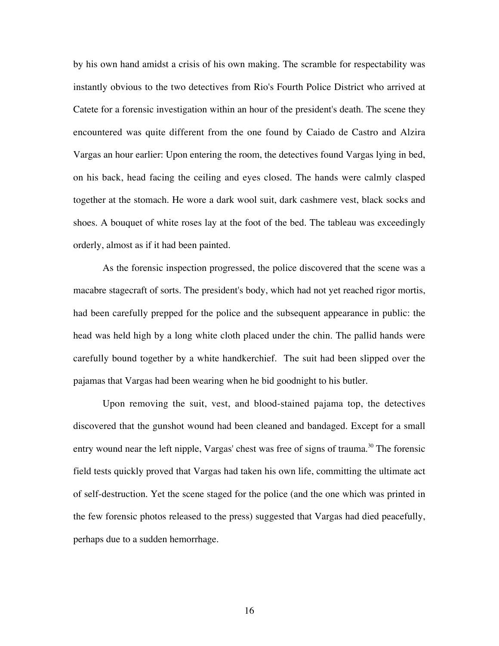by his own hand amidst a crisis of his own making. The scramble for respectability was instantly obvious to the two detectives from Rio's Fourth Police District who arrived at Catete for a forensic investigation within an hour of the president's death. The scene they encountered was quite different from the one found by Caiado de Castro and Alzira Vargas an hour earlier: Upon entering the room, the detectives found Vargas lying in bed, on his back, head facing the ceiling and eyes closed. The hands were calmly clasped together at the stomach. He wore a dark wool suit, dark cashmere vest, black socks and shoes. A bouquet of white roses lay at the foot of the bed. The tableau was exceedingly orderly, almost as if it had been painted.

As the forensic inspection progressed, the police discovered that the scene was a macabre stagecraft of sorts. The president's body, which had not yet reached rigor mortis, had been carefully prepped for the police and the subsequent appearance in public: the head was held high by a long white cloth placed under the chin. The pallid hands were carefully bound together by a white handkerchief. The suit had been slipped over the pajamas that Vargas had been wearing when he bid goodnight to his butler.

Upon removing the suit, vest, and blood-stained pajama top, the detectives discovered that the gunshot wound had been cleaned and bandaged. Except for a small entry wound near the left nipple, Vargas' chest was free of signs of trauma.<sup>30</sup> The forensic field tests quickly proved that Vargas had taken his own life, committing the ultimate act of self-destruction. Yet the scene staged for the police (and the one which was printed in the few forensic photos released to the press) suggested that Vargas had died peacefully, perhaps due to a sudden hemorrhage.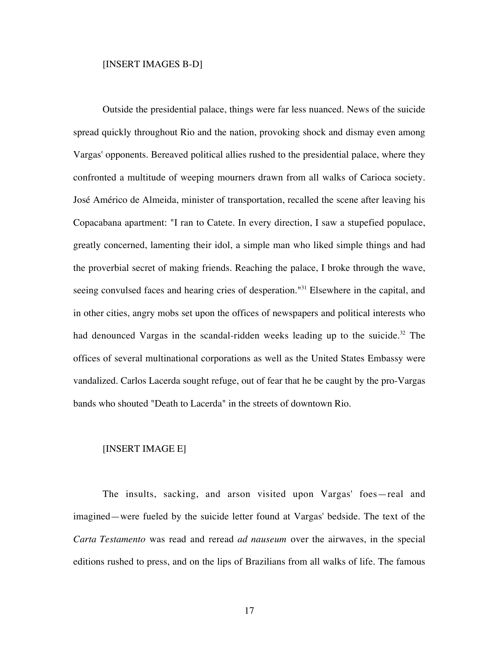#### [INSERT IMAGES B-D]

Outside the presidential palace, things were far less nuanced. News of the suicide spread quickly throughout Rio and the nation, provoking shock and dismay even among Vargas' opponents. Bereaved political allies rushed to the presidential palace, where they confronted a multitude of weeping mourners drawn from all walks of Carioca society. José Américo de Almeida, minister of transportation, recalled the scene after leaving his Copacabana apartment: "I ran to Catete. In every direction, I saw a stupefied populace, greatly concerned, lamenting their idol, a simple man who liked simple things and had the proverbial secret of making friends. Reaching the palace, I broke through the wave, seeing convulsed faces and hearing cries of desperation."<sup>31</sup> Elsewhere in the capital, and in other cities, angry mobs set upon the offices of newspapers and political interests who had denounced Vargas in the scandal-ridden weeks leading up to the suicide.<sup>32</sup> The offices of several multinational corporations as well as the United States Embassy were vandalized. Carlos Lacerda sought refuge, out of fear that he be caught by the pro-Vargas bands who shouted "Death to Lacerda" in the streets of downtown Rio.

## [INSERT IMAGE E]

The insults, sacking, and arson visited upon Vargas' foes—real and imagined—were fueled by the suicide letter found at Vargas' bedside. The text of the *Carta Testamento* was read and reread *ad nauseum* over the airwaves, in the special editions rushed to press, and on the lips of Brazilians from all walks of life. The famous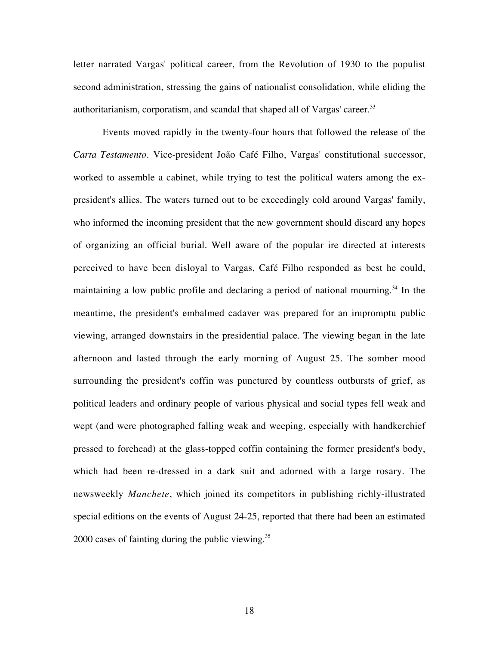letter narrated Vargas' political career, from the Revolution of 1930 to the populist second administration, stressing the gains of nationalist consolidation, while eliding the authoritarianism, corporatism, and scandal that shaped all of Vargas' career.<sup>33</sup>

Events moved rapidly in the twenty-four hours that followed the release of the *Carta Testamento*. Vice-president João Café Filho, Vargas' constitutional successor, worked to assemble a cabinet, while trying to test the political waters among the expresident's allies. The waters turned out to be exceedingly cold around Vargas' family, who informed the incoming president that the new government should discard any hopes of organizing an official burial. Well aware of the popular ire directed at interests perceived to have been disloyal to Vargas, Café Filho responded as best he could, maintaining a low public profile and declaring a period of national mourning.<sup>34</sup> In the meantime, the president's embalmed cadaver was prepared for an impromptu public viewing, arranged downstairs in the presidential palace. The viewing began in the late afternoon and lasted through the early morning of August 25. The somber mood surrounding the president's coffin was punctured by countless outbursts of grief, as political leaders and ordinary people of various physical and social types fell weak and wept (and were photographed falling weak and weeping, especially with handkerchief pressed to forehead) at the glass-topped coffin containing the former president's body, which had been re-dressed in a dark suit and adorned with a large rosary. The newsweekly *Manchete*, which joined its competitors in publishing richly-illustrated special editions on the events of August 24-25, reported that there had been an estimated 2000 cases of fainting during the public viewing. $35$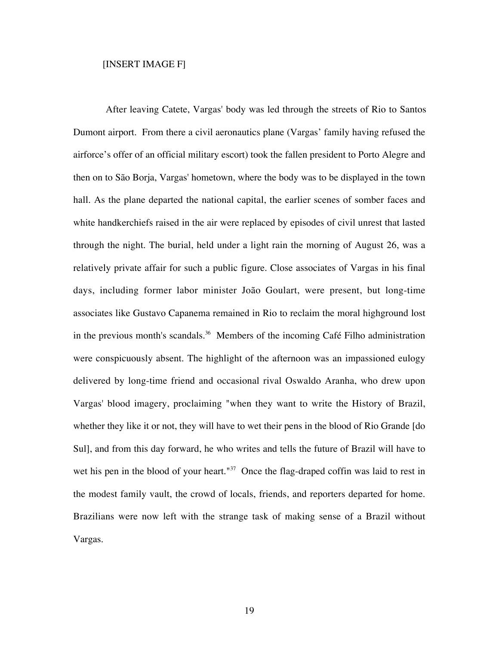## [INSERT IMAGE F]

After leaving Catete, Vargas' body was led through the streets of Rio to Santos Dumont airport. From there a civil aeronautics plane (Vargas' family having refused the airforce's offer of an official military escort) took the fallen president to Porto Alegre and then on to São Borja, Vargas' hometown, where the body was to be displayed in the town hall. As the plane departed the national capital, the earlier scenes of somber faces and white handkerchiefs raised in the air were replaced by episodes of civil unrest that lasted through the night. The burial, held under a light rain the morning of August 26, was a relatively private affair for such a public figure. Close associates of Vargas in his final days, including former labor minister João Goulart, were present, but long-time associates like Gustavo Capanema remained in Rio to reclaim the moral highground lost in the previous month's scandals.<sup>36</sup> Members of the incoming Café Filho administration were conspicuously absent. The highlight of the afternoon was an impassioned eulogy delivered by long-time friend and occasional rival Oswaldo Aranha, who drew upon Vargas' blood imagery, proclaiming "when they want to write the History of Brazil, whether they like it or not, they will have to wet their pens in the blood of Rio Grande [do Sul], and from this day forward, he who writes and tells the future of Brazil will have to wet his pen in the blood of your heart."<sup>37</sup> Once the flag-draped coffin was laid to rest in the modest family vault, the crowd of locals, friends, and reporters departed for home. Brazilians were now left with the strange task of making sense of a Brazil without Vargas.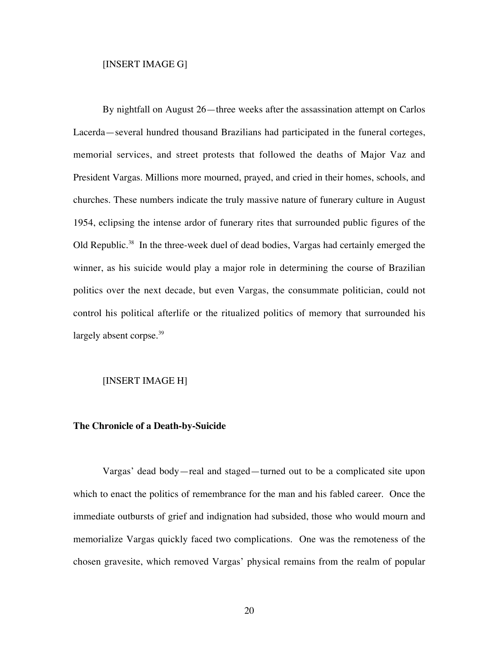## [INSERT IMAGE G]

By nightfall on August 26—three weeks after the assassination attempt on Carlos Lacerda—several hundred thousand Brazilians had participated in the funeral corteges, memorial services, and street protests that followed the deaths of Major Vaz and President Vargas. Millions more mourned, prayed, and cried in their homes, schools, and churches. These numbers indicate the truly massive nature of funerary culture in August 1954, eclipsing the intense ardor of funerary rites that surrounded public figures of the Old Republic.<sup>38</sup> In the three-week duel of dead bodies, Vargas had certainly emerged the winner, as his suicide would play a major role in determining the course of Brazilian politics over the next decade, but even Vargas, the consummate politician, could not control his political afterlife or the ritualized politics of memory that surrounded his largely absent corpse. $39$ 

## [INSERT IMAGE H]

## **The Chronicle of a Death-by-Suicide**

Vargas' dead body—real and staged—turned out to be a complicated site upon which to enact the politics of remembrance for the man and his fabled career. Once the immediate outbursts of grief and indignation had subsided, those who would mourn and memorialize Vargas quickly faced two complications. One was the remoteness of the chosen gravesite, which removed Vargas' physical remains from the realm of popular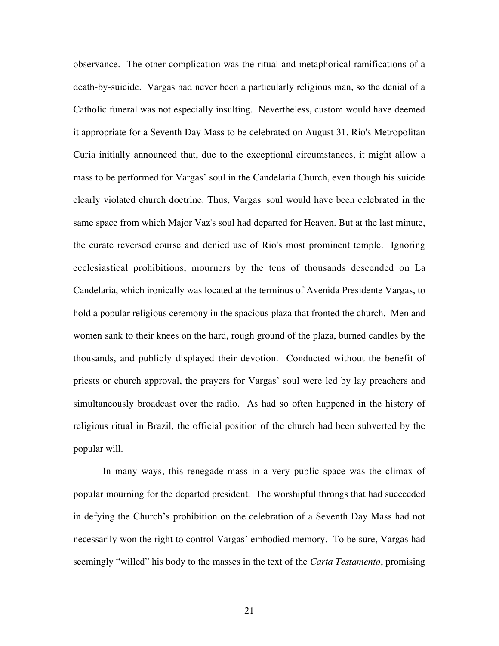observance. The other complication was the ritual and metaphorical ramifications of a death-by-suicide. Vargas had never been a particularly religious man, so the denial of a Catholic funeral was not especially insulting. Nevertheless, custom would have deemed it appropriate for a Seventh Day Mass to be celebrated on August 31. Rio's Metropolitan Curia initially announced that, due to the exceptional circumstances, it might allow a mass to be performed for Vargas' soul in the Candelaria Church, even though his suicide clearly violated church doctrine. Thus, Vargas' soul would have been celebrated in the same space from which Major Vaz's soul had departed for Heaven. But at the last minute, the curate reversed course and denied use of Rio's most prominent temple. Ignoring ecclesiastical prohibitions, mourners by the tens of thousands descended on La Candelaria, which ironically was located at the terminus of Avenida Presidente Vargas, to hold a popular religious ceremony in the spacious plaza that fronted the church. Men and women sank to their knees on the hard, rough ground of the plaza, burned candles by the thousands, and publicly displayed their devotion. Conducted without the benefit of priests or church approval, the prayers for Vargas' soul were led by lay preachers and simultaneously broadcast over the radio. As had so often happened in the history of religious ritual in Brazil, the official position of the church had been subverted by the popular will.

In many ways, this renegade mass in a very public space was the climax of popular mourning for the departed president. The worshipful throngs that had succeeded in defying the Church's prohibition on the celebration of a Seventh Day Mass had not necessarily won the right to control Vargas' embodied memory. To be sure, Vargas had seemingly "willed" his body to the masses in the text of the *Carta Testamento*, promising

21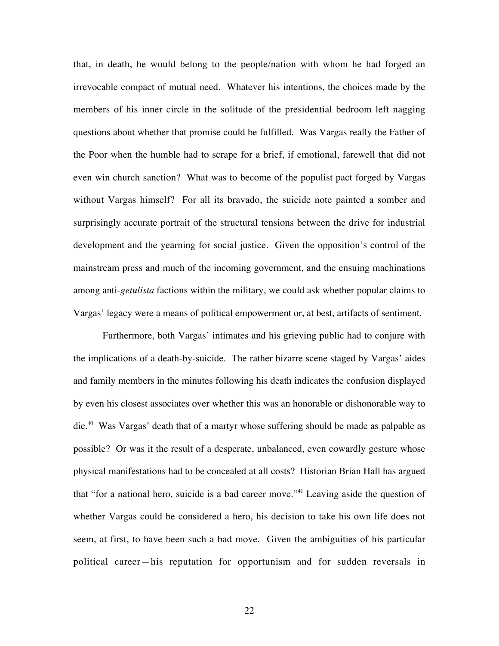that, in death, he would belong to the people/nation with whom he had forged an irrevocable compact of mutual need. Whatever his intentions, the choices made by the members of his inner circle in the solitude of the presidential bedroom left nagging questions about whether that promise could be fulfilled. Was Vargas really the Father of the Poor when the humble had to scrape for a brief, if emotional, farewell that did not even win church sanction? What was to become of the populist pact forged by Vargas without Vargas himself? For all its bravado, the suicide note painted a somber and surprisingly accurate portrait of the structural tensions between the drive for industrial development and the yearning for social justice. Given the opposition's control of the mainstream press and much of the incoming government, and the ensuing machinations among anti-*getulista* factions within the military, we could ask whether popular claims to Vargas' legacy were a means of political empowerment or, at best, artifacts of sentiment.

Furthermore, both Vargas' intimates and his grieving public had to conjure with the implications of a death-by-suicide. The rather bizarre scene staged by Vargas' aides and family members in the minutes following his death indicates the confusion displayed by even his closest associates over whether this was an honorable or dishonorable way to die.<sup>40</sup> Was Vargas' death that of a martyr whose suffering should be made as palpable as possible? Or was it the result of a desperate, unbalanced, even cowardly gesture whose physical manifestations had to be concealed at all costs? Historian Brian Hall has argued that "for a national hero, suicide is a bad career move."<sup>41</sup> Leaving aside the question of whether Vargas could be considered a hero, his decision to take his own life does not seem, at first, to have been such a bad move. Given the ambiguities of his particular political career—his reputation for opportunism and for sudden reversals in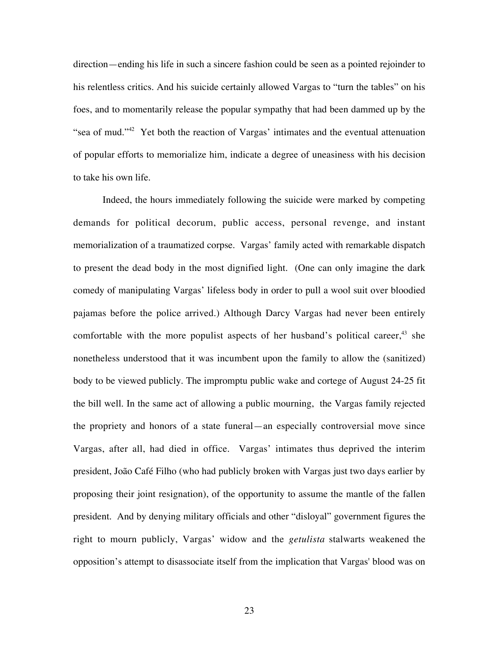direction—ending his life in such a sincere fashion could be seen as a pointed rejoinder to his relentless critics. And his suicide certainly allowed Vargas to "turn the tables" on his foes, and to momentarily release the popular sympathy that had been dammed up by the "sea of mud."<sup>42</sup> Yet both the reaction of Vargas' intimates and the eventual attenuation of popular efforts to memorialize him, indicate a degree of uneasiness with his decision to take his own life.

Indeed, the hours immediately following the suicide were marked by competing demands for political decorum, public access, personal revenge, and instant memorialization of a traumatized corpse. Vargas' family acted with remarkable dispatch to present the dead body in the most dignified light. (One can only imagine the dark comedy of manipulating Vargas' lifeless body in order to pull a wool suit over bloodied pajamas before the police arrived.) Although Darcy Vargas had never been entirely comfortable with the more populist aspects of her husband's political career, $43$  she nonetheless understood that it was incumbent upon the family to allow the (sanitized) body to be viewed publicly. The impromptu public wake and cortege of August 24-25 fit the bill well. In the same act of allowing a public mourning, the Vargas family rejected the propriety and honors of a state funeral—an especially controversial move since Vargas, after all, had died in office. Vargas' intimates thus deprived the interim president, João Café Filho (who had publicly broken with Vargas just two days earlier by proposing their joint resignation), of the opportunity to assume the mantle of the fallen president. And by denying military officials and other "disloyal" government figures the right to mourn publicly, Vargas' widow and the *getulista* stalwarts weakened the opposition's attempt to disassociate itself from the implication that Vargas' blood was on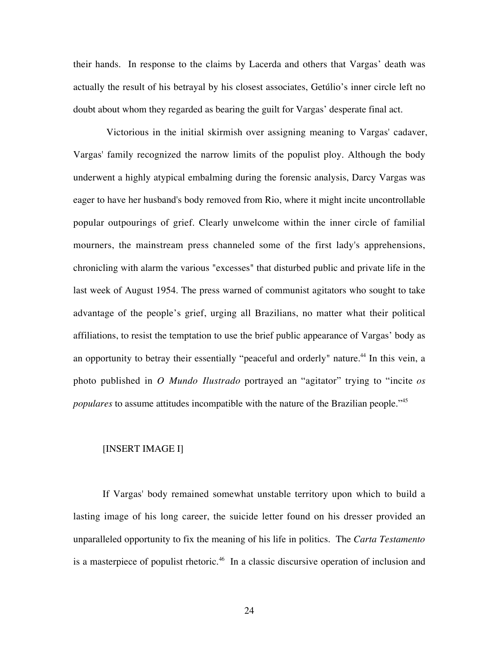their hands. In response to the claims by Lacerda and others that Vargas' death was actually the result of his betrayal by his closest associates, Getúlio's inner circle left no doubt about whom they regarded as bearing the guilt for Vargas' desperate final act.

Victorious in the initial skirmish over assigning meaning to Vargas' cadaver, Vargas' family recognized the narrow limits of the populist ploy. Although the body underwent a highly atypical embalming during the forensic analysis, Darcy Vargas was eager to have her husband's body removed from Rio, where it might incite uncontrollable popular outpourings of grief. Clearly unwelcome within the inner circle of familial mourners, the mainstream press channeled some of the first lady's apprehensions, chronicling with alarm the various "excesses" that disturbed public and private life in the last week of August 1954. The press warned of communist agitators who sought to take advantage of the people's grief, urging all Brazilians, no matter what their political affiliations, to resist the temptation to use the brief public appearance of Vargas' body as an opportunity to betray their essentially "peaceful and orderly" nature.<sup>44</sup> In this vein, a photo published in *O Mundo Ilustrado* portrayed an "agitator" trying to "incite *os populares* to assume attitudes incompatible with the nature of the Brazilian people."<sup>45</sup>

# [INSERT IMAGE I]

If Vargas' body remained somewhat unstable territory upon which to build a lasting image of his long career, the suicide letter found on his dresser provided an unparalleled opportunity to fix the meaning of his life in politics. The *Carta Testamento* is a masterpiece of populist rhetoric.<sup>46</sup> In a classic discursive operation of inclusion and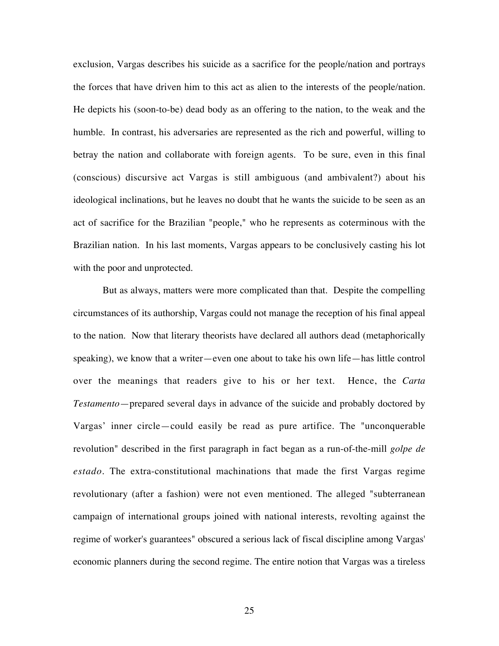exclusion, Vargas describes his suicide as a sacrifice for the people/nation and portrays the forces that have driven him to this act as alien to the interests of the people/nation. He depicts his (soon-to-be) dead body as an offering to the nation, to the weak and the humble. In contrast, his adversaries are represented as the rich and powerful, willing to betray the nation and collaborate with foreign agents. To be sure, even in this final (conscious) discursive act Vargas is still ambiguous (and ambivalent?) about his ideological inclinations, but he leaves no doubt that he wants the suicide to be seen as an act of sacrifice for the Brazilian "people," who he represents as coterminous with the Brazilian nation. In his last moments, Vargas appears to be conclusively casting his lot with the poor and unprotected.

But as always, matters were more complicated than that. Despite the compelling circumstances of its authorship, Vargas could not manage the reception of his final appeal to the nation. Now that literary theorists have declared all authors dead (metaphorically speaking), we know that a writer—even one about to take his own life—has little control over the meanings that readers give to his or her text. Hence, the *Carta Testamento*—prepared several days in advance of the suicide and probably doctored by Vargas' inner circle—could easily be read as pure artifice. The "unconquerable revolution" described in the first paragraph in fact began as a run-of-the-mill *golpe de estado*. The extra-constitutional machinations that made the first Vargas regime revolutionary (after a fashion) were not even mentioned. The alleged "subterranean campaign of international groups joined with national interests, revolting against the regime of worker's guarantees" obscured a serious lack of fiscal discipline among Vargas' economic planners during the second regime. The entire notion that Vargas was a tireless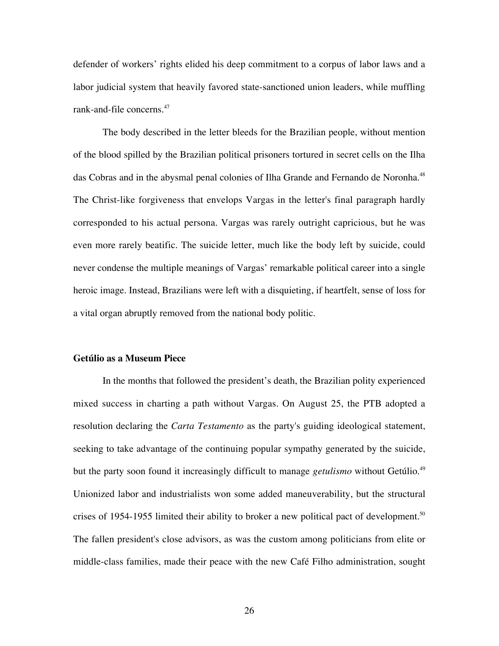defender of workers' rights elided his deep commitment to a corpus of labor laws and a labor judicial system that heavily favored state-sanctioned union leaders, while muffling rank-and-file concerns.<sup>47</sup>

The body described in the letter bleeds for the Brazilian people, without mention of the blood spilled by the Brazilian political prisoners tortured in secret cells on the Ilha das Cobras and in the abysmal penal colonies of Ilha Grande and Fernando de Noronha.<sup>48</sup> The Christ-like forgiveness that envelops Vargas in the letter's final paragraph hardly corresponded to his actual persona. Vargas was rarely outright capricious, but he was even more rarely beatific. The suicide letter, much like the body left by suicide, could never condense the multiple meanings of Vargas' remarkable political career into a single heroic image. Instead, Brazilians were left with a disquieting, if heartfelt, sense of loss for a vital organ abruptly removed from the national body politic.

## **Getúlio as a Museum Piece**

In the months that followed the president's death, the Brazilian polity experienced mixed success in charting a path without Vargas. On August 25, the PTB adopted a resolution declaring the *Carta Testamento* as the party's guiding ideological statement, seeking to take advantage of the continuing popular sympathy generated by the suicide, but the party soon found it increasingly difficult to manage *getulismo* without Getúlio.<sup>49</sup> Unionized labor and industrialists won some added maneuverability, but the structural crises of 1954-1955 limited their ability to broker a new political pact of development.<sup>50</sup> The fallen president's close advisors, as was the custom among politicians from elite or middle-class families, made their peace with the new Café Filho administration, sought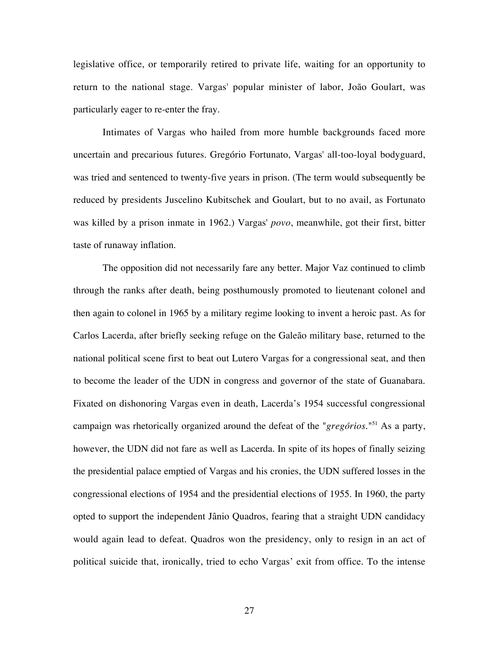legislative office, or temporarily retired to private life, waiting for an opportunity to return to the national stage. Vargas' popular minister of labor, João Goulart, was particularly eager to re-enter the fray.

Intimates of Vargas who hailed from more humble backgrounds faced more uncertain and precarious futures. Gregório Fortunato, Vargas' all-too-loyal bodyguard, was tried and sentenced to twenty-five years in prison. (The term would subsequently be reduced by presidents Juscelino Kubitschek and Goulart, but to no avail, as Fortunato was killed by a prison inmate in 1962.) Vargas' *povo*, meanwhile, got their first, bitter taste of runaway inflation.

The opposition did not necessarily fare any better. Major Vaz continued to climb through the ranks after death, being posthumously promoted to lieutenant colonel and then again to colonel in 1965 by a military regime looking to invent a heroic past. As for Carlos Lacerda, after briefly seeking refuge on the Galeão military base, returned to the national political scene first to beat out Lutero Vargas for a congressional seat, and then to become the leader of the UDN in congress and governor of the state of Guanabara. Fixated on dishonoring Vargas even in death, Lacerda's 1954 successful congressional campaign was rhetorically organized around the defeat of the "*gregórios*."51 As a party, however, the UDN did not fare as well as Lacerda. In spite of its hopes of finally seizing the presidential palace emptied of Vargas and his cronies, the UDN suffered losses in the congressional elections of 1954 and the presidential elections of 1955. In 1960, the party opted to support the independent Jânio Quadros, fearing that a straight UDN candidacy would again lead to defeat. Quadros won the presidency, only to resign in an act of political suicide that, ironically, tried to echo Vargas' exit from office. To the intense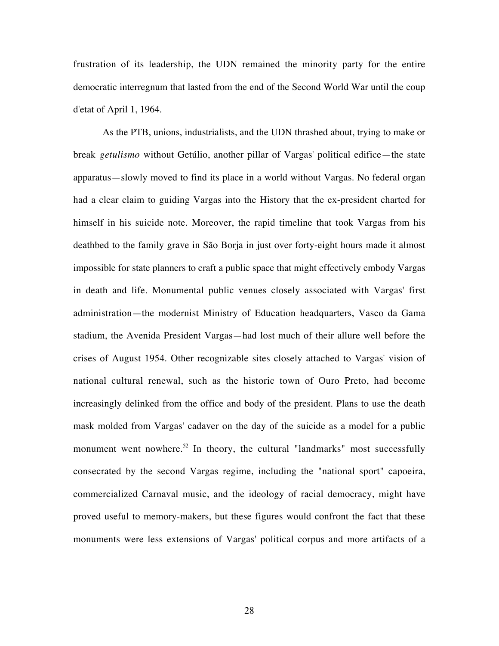frustration of its leadership, the UDN remained the minority party for the entire democratic interregnum that lasted from the end of the Second World War until the coup d'etat of April 1, 1964.

As the PTB, unions, industrialists, and the UDN thrashed about, trying to make or break *getulismo* without Getúlio, another pillar of Vargas' political edifice—the state apparatus—slowly moved to find its place in a world without Vargas. No federal organ had a clear claim to guiding Vargas into the History that the ex-president charted for himself in his suicide note. Moreover, the rapid timeline that took Vargas from his deathbed to the family grave in São Borja in just over forty-eight hours made it almost impossible for state planners to craft a public space that might effectively embody Vargas in death and life. Monumental public venues closely associated with Vargas' first administration—the modernist Ministry of Education headquarters, Vasco da Gama stadium, the Avenida President Vargas—had lost much of their allure well before the crises of August 1954. Other recognizable sites closely attached to Vargas' vision of national cultural renewal, such as the historic town of Ouro Preto, had become increasingly delinked from the office and body of the president. Plans to use the death mask molded from Vargas' cadaver on the day of the suicide as a model for a public monument went nowhere.<sup>52</sup> In theory, the cultural "landmarks" most successfully consecrated by the second Vargas regime, including the "national sport" capoeira, commercialized Carnaval music, and the ideology of racial democracy, might have proved useful to memory-makers, but these figures would confront the fact that these monuments were less extensions of Vargas' political corpus and more artifacts of a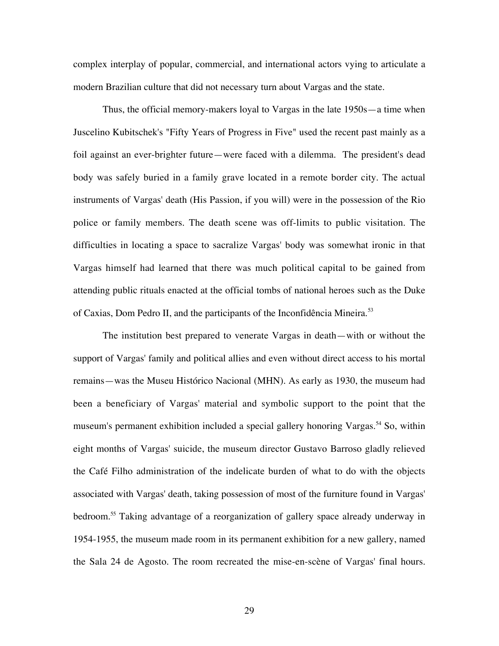complex interplay of popular, commercial, and international actors vying to articulate a modern Brazilian culture that did not necessary turn about Vargas and the state.

Thus, the official memory-makers loyal to Vargas in the late 1950s—a time when Juscelino Kubitschek's "Fifty Years of Progress in Five" used the recent past mainly as a foil against an ever-brighter future—were faced with a dilemma. The president's dead body was safely buried in a family grave located in a remote border city. The actual instruments of Vargas' death (His Passion, if you will) were in the possession of the Rio police or family members. The death scene was off-limits to public visitation. The difficulties in locating a space to sacralize Vargas' body was somewhat ironic in that Vargas himself had learned that there was much political capital to be gained from attending public rituals enacted at the official tombs of national heroes such as the Duke of Caxias, Dom Pedro II, and the participants of the Inconfidência Mineira.<sup>53</sup>

The institution best prepared to venerate Vargas in death—with or without the support of Vargas' family and political allies and even without direct access to his mortal remains—was the Museu Histórico Nacional (MHN). As early as 1930, the museum had been a beneficiary of Vargas' material and symbolic support to the point that the museum's permanent exhibition included a special gallery honoring Vargas.<sup>54</sup> So, within eight months of Vargas' suicide, the museum director Gustavo Barroso gladly relieved the Café Filho administration of the indelicate burden of what to do with the objects associated with Vargas' death, taking possession of most of the furniture found in Vargas' bedroom.55 Taking advantage of a reorganization of gallery space already underway in 1954-1955, the museum made room in its permanent exhibition for a new gallery, named the Sala 24 de Agosto. The room recreated the mise-en-scène of Vargas' final hours.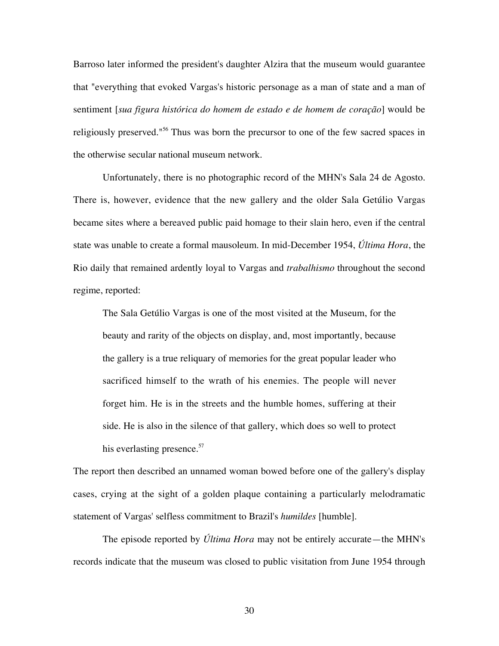Barroso later informed the president's daughter Alzira that the museum would guarantee that "everything that evoked Vargas's historic personage as a man of state and a man of sentiment [*sua figura histórica do homem de estado e de homem de coração*] would be religiously preserved."<sup>56</sup> Thus was born the precursor to one of the few sacred spaces in the otherwise secular national museum network.

Unfortunately, there is no photographic record of the MHN's Sala 24 de Agosto. There is, however, evidence that the new gallery and the older Sala Getúlio Vargas became sites where a bereaved public paid homage to their slain hero, even if the central state was unable to create a formal mausoleum. In mid-December 1954, *Última Hora*, the Rio daily that remained ardently loyal to Vargas and *trabalhismo* throughout the second regime, reported:

The Sala Getúlio Vargas is one of the most visited at the Museum, for the beauty and rarity of the objects on display, and, most importantly, because the gallery is a true reliquary of memories for the great popular leader who sacrificed himself to the wrath of his enemies. The people will never forget him. He is in the streets and the humble homes, suffering at their side. He is also in the silence of that gallery, which does so well to protect his everlasting presence.<sup>57</sup>

The report then described an unnamed woman bowed before one of the gallery's display cases, crying at the sight of a golden plaque containing a particularly melodramatic statement of Vargas' selfless commitment to Brazil's *humildes* [humble].

The episode reported by *Última Hora* may not be entirely accurate—the MHN's records indicate that the museum was closed to public visitation from June 1954 through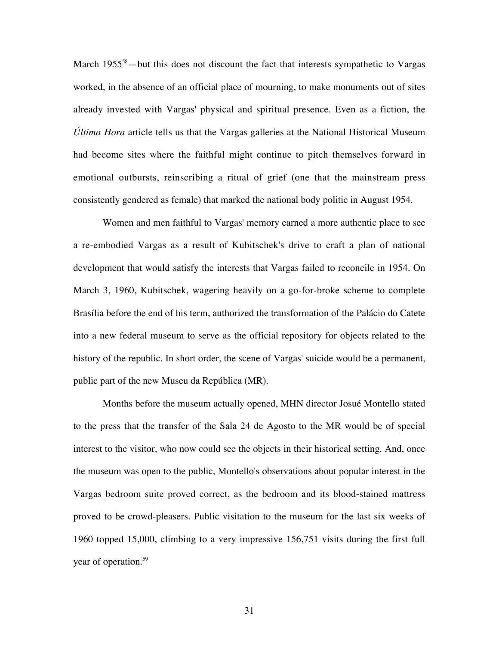March 1955<sup>58</sup> – but this does not discount the fact that interests sympathetic to Vargas worked, in the absence of an official place of mourning, to make monuments out of sites already invested with Vargas' physical and spiritual presence. Even as a fiction, the *Última Hora* article tells us that the Vargas galleries at the National Historical Museum had become sites where the faithful might continue to pitch themselves forward in emotional outbursts, reinscribing a ritual of grief (one that the mainstream press consistently gendered as female) that marked the national body politic in August 1954.

Women and men faithful to Vargas' memory earned a more authentic place to see a re-embodied Vargas as a result of Kubitschek's drive to craft a plan of national development that would satisfy the interests that Vargas failed to reconcile in 1954. On March 3, 1960, Kubitschek, wagering heavily on a go-for-broke scheme to complete Brasília before the end of his term, authorized the transformation of the Palácio do Catete into a new federal museum to serve as the official repository for objects related to the history of the republic. In short order, the scene of Vargas' suicide would be a permanent, public part of the new Museu da República (MR).

Months before the museum actually opened, MHN director Josué Montello stated to the press that the transfer of the Sala 24 de Agosto to the MR would be of special interest to the visitor, who now could see the objects in their historical setting. And, once the museum was open to the public, Montello's observations about popular interest in the Vargas bedroom suite proved correct, as the bedroom and its blood-stained mattress proved to be crowd-pleasers. Public visitation to the museum for the last six weeks of 1960 topped 15,000, climbing to a very impressive 156,751 visits during the first full year of operation.<sup>59</sup>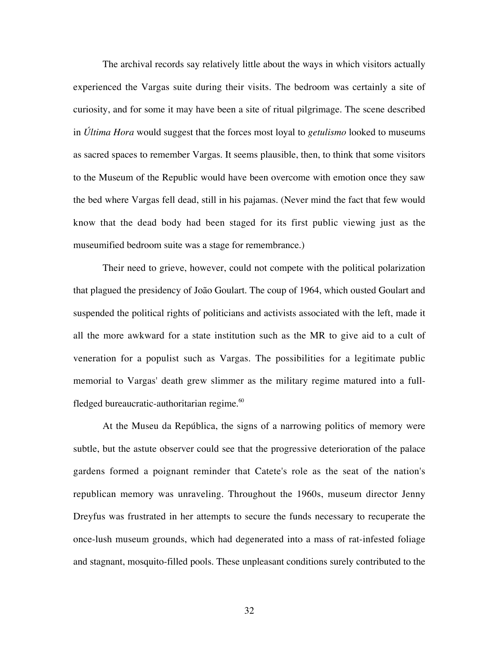The archival records say relatively little about the ways in which visitors actually experienced the Vargas suite during their visits. The bedroom was certainly a site of curiosity, and for some it may have been a site of ritual pilgrimage. The scene described in *Última Hora* would suggest that the forces most loyal to *getulismo* looked to museums as sacred spaces to remember Vargas. It seems plausible, then, to think that some visitors to the Museum of the Republic would have been overcome with emotion once they saw the bed where Vargas fell dead, still in his pajamas. (Never mind the fact that few would know that the dead body had been staged for its first public viewing just as the museumified bedroom suite was a stage for remembrance.)

Their need to grieve, however, could not compete with the political polarization that plagued the presidency of João Goulart. The coup of 1964, which ousted Goulart and suspended the political rights of politicians and activists associated with the left, made it all the more awkward for a state institution such as the MR to give aid to a cult of veneration for a populist such as Vargas. The possibilities for a legitimate public memorial to Vargas' death grew slimmer as the military regime matured into a fullfledged bureaucratic-authoritarian regime.<sup>60</sup>

At the Museu da República, the signs of a narrowing politics of memory were subtle, but the astute observer could see that the progressive deterioration of the palace gardens formed a poignant reminder that Catete's role as the seat of the nation's republican memory was unraveling. Throughout the 1960s, museum director Jenny Dreyfus was frustrated in her attempts to secure the funds necessary to recuperate the once-lush museum grounds, which had degenerated into a mass of rat-infested foliage and stagnant, mosquito-filled pools. These unpleasant conditions surely contributed to the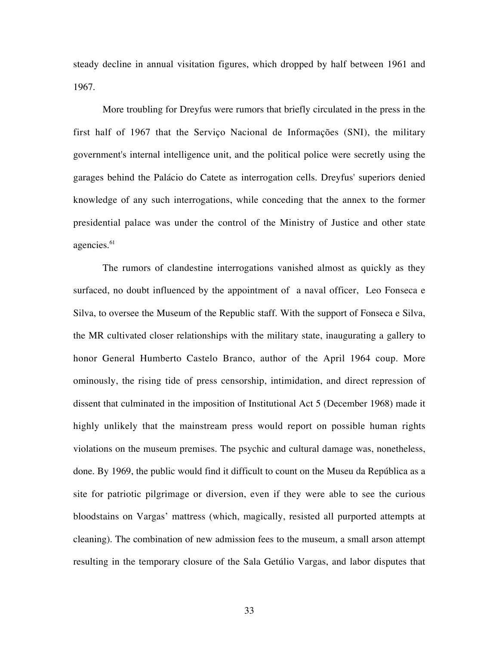steady decline in annual visitation figures, which dropped by half between 1961 and 1967.

More troubling for Dreyfus were rumors that briefly circulated in the press in the first half of 1967 that the Serviço Nacional de Informações (SNI), the military government's internal intelligence unit, and the political police were secretly using the garages behind the Palácio do Catete as interrogation cells. Dreyfus' superiors denied knowledge of any such interrogations, while conceding that the annex to the former presidential palace was under the control of the Ministry of Justice and other state agencies.<sup>61</sup>

The rumors of clandestine interrogations vanished almost as quickly as they surfaced, no doubt influenced by the appointment of a naval officer, Leo Fonseca e Silva, to oversee the Museum of the Republic staff. With the support of Fonseca e Silva, the MR cultivated closer relationships with the military state, inaugurating a gallery to honor General Humberto Castelo Branco, author of the April 1964 coup. More ominously, the rising tide of press censorship, intimidation, and direct repression of dissent that culminated in the imposition of Institutional Act 5 (December 1968) made it highly unlikely that the mainstream press would report on possible human rights violations on the museum premises. The psychic and cultural damage was, nonetheless, done. By 1969, the public would find it difficult to count on the Museu da República as a site for patriotic pilgrimage or diversion, even if they were able to see the curious bloodstains on Vargas' mattress (which, magically, resisted all purported attempts at cleaning). The combination of new admission fees to the museum, a small arson attempt resulting in the temporary closure of the Sala Getúlio Vargas, and labor disputes that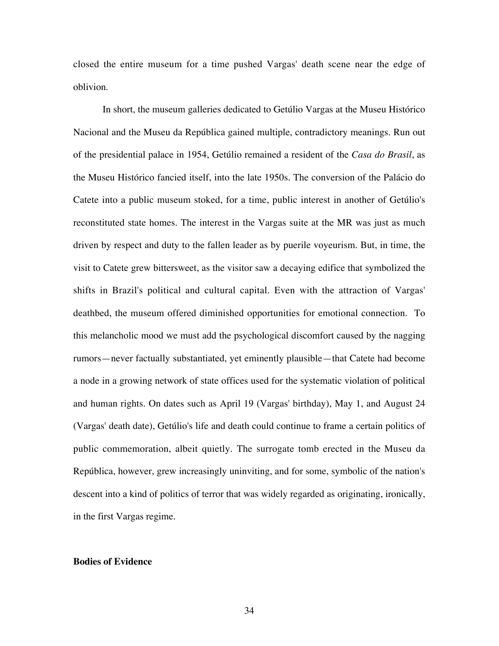closed the entire museum for a time pushed Vargas' death scene near the edge of oblivion.

In short, the museum galleries dedicated to Getúlio Vargas at the Museu Histórico Nacional and the Museu da República gained multiple, contradictory meanings. Run out of the presidential palace in 1954, Getúlio remained a resident of the *Casa do Brasil*, as the Museu Histórico fancied itself, into the late 1950s. The conversion of the Palácio do Catete into a public museum stoked, for a time, public interest in another of Getúlio's reconstituted state homes. The interest in the Vargas suite at the MR was just as much driven by respect and duty to the fallen leader as by puerile voyeurism. But, in time, the visit to Catete grew bittersweet, as the visitor saw a decaying edifice that symbolized the shifts in Brazil's political and cultural capital. Even with the attraction of Vargas' deathbed, the museum offered diminished opportunities for emotional connection. To this melancholic mood we must add the psychological discomfort caused by the nagging rumors—never factually substantiated, yet eminently plausible—that Catete had become a node in a growing network of state offices used for the systematic violation of political and human rights. On dates such as April 19 (Vargas' birthday), May 1, and August 24 (Vargas' death date), Getúlio's life and death could continue to frame a certain politics of public commemoration, albeit quietly. The surrogate tomb erected in the Museu da República, however, grew increasingly uninviting, and for some, symbolic of the nation's descent into a kind of politics of terror that was widely regarded as originating, ironically, in the first Vargas regime.

#### **Bodies of Evidence**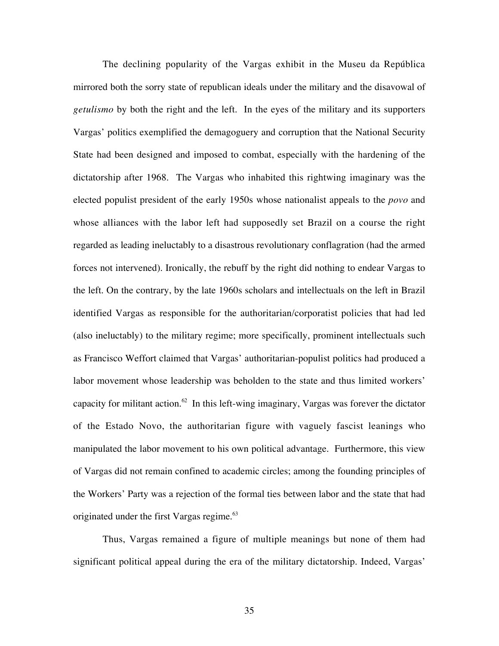The declining popularity of the Vargas exhibit in the Museu da República mirrored both the sorry state of republican ideals under the military and the disavowal of *getulismo* by both the right and the left. In the eyes of the military and its supporters Vargas' politics exemplified the demagoguery and corruption that the National Security State had been designed and imposed to combat, especially with the hardening of the dictatorship after 1968. The Vargas who inhabited this rightwing imaginary was the elected populist president of the early 1950s whose nationalist appeals to the *povo* and whose alliances with the labor left had supposedly set Brazil on a course the right regarded as leading ineluctably to a disastrous revolutionary conflagration (had the armed forces not intervened). Ironically, the rebuff by the right did nothing to endear Vargas to the left. On the contrary, by the late 1960s scholars and intellectuals on the left in Brazil identified Vargas as responsible for the authoritarian/corporatist policies that had led (also ineluctably) to the military regime; more specifically, prominent intellectuals such as Francisco Weffort claimed that Vargas' authoritarian-populist politics had produced a labor movement whose leadership was beholden to the state and thus limited workers' capacity for militant action.<sup>62</sup> In this left-wing imaginary, Vargas was forever the dictator of the Estado Novo, the authoritarian figure with vaguely fascist leanings who manipulated the labor movement to his own political advantage. Furthermore, this view of Vargas did not remain confined to academic circles; among the founding principles of the Workers' Party was a rejection of the formal ties between labor and the state that had originated under the first Vargas regime.<sup>63</sup>

Thus, Vargas remained a figure of multiple meanings but none of them had significant political appeal during the era of the military dictatorship. Indeed, Vargas'

35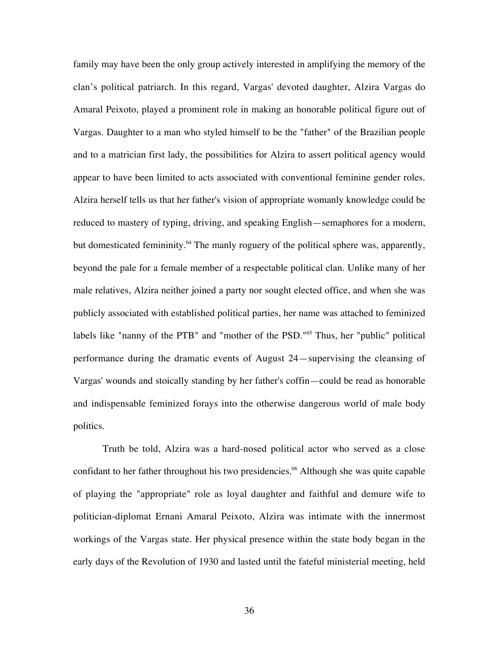family may have been the only group actively interested in amplifying the memory of the clan's political patriarch. In this regard, Vargas' devoted daughter, Alzira Vargas do Amaral Peixoto, played a prominent role in making an honorable political figure out of Vargas. Daughter to a man who styled himself to be the "father" of the Brazilian people and to a matrician first lady, the possibilities for Alzira to assert political agency would appear to have been limited to acts associated with conventional feminine gender roles. Alzira herself tells us that her father's vision of appropriate womanly knowledge could be reduced to mastery of typing, driving, and speaking English—semaphores for a modern, but domesticated femininity.<sup>64</sup> The manly roguery of the political sphere was, apparently, beyond the pale for a female member of a respectable political clan. Unlike many of her male relatives, Alzira neither joined a party nor sought elected office, and when she was publicly associated with established political parties, her name was attached to feminized labels like "nanny of the PTB" and "mother of the PSD."<sup>65</sup> Thus, her "public" political performance during the dramatic events of August 24—supervising the cleansing of Vargas' wounds and stoically standing by her father's coffin—could be read as honorable and indispensable feminized forays into the otherwise dangerous world of male body politics.

Truth be told, Alzira was a hard-nosed political actor who served as a close confidant to her father throughout his two presidencies.<sup>66</sup> Although she was quite capable of playing the "appropriate" role as loyal daughter and faithful and demure wife to politician-diplomat Ernani Amaral Peixoto, Alzira was intimate with the innermost workings of the Vargas state. Her physical presence within the state body began in the early days of the Revolution of 1930 and lasted until the fateful ministerial meeting, held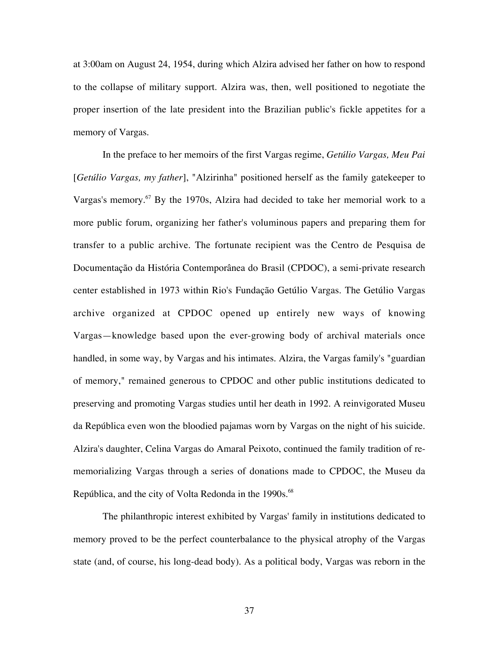at 3:00am on August 24, 1954, during which Alzira advised her father on how to respond to the collapse of military support. Alzira was, then, well positioned to negotiate the proper insertion of the late president into the Brazilian public's fickle appetites for a memory of Vargas.

In the preface to her memoirs of the first Vargas regime, *Getúlio Vargas, Meu Pai* [*Getúlio Vargas, my father*], "Alzirinha" positioned herself as the family gatekeeper to Vargas's memory.<sup>67</sup> By the 1970s, Alzira had decided to take her memorial work to a more public forum, organizing her father's voluminous papers and preparing them for transfer to a public archive. The fortunate recipient was the Centro de Pesquisa de Documentação da História Contemporânea do Brasil (CPDOC), a semi-private research center established in 1973 within Rio's Fundação Getúlio Vargas. The Getúlio Vargas archive organized at CPDOC opened up entirely new ways of knowing Vargas—knowledge based upon the ever-growing body of archival materials once handled, in some way, by Vargas and his intimates. Alzira, the Vargas family's "guardian of memory," remained generous to CPDOC and other public institutions dedicated to preserving and promoting Vargas studies until her death in 1992. A reinvigorated Museu da República even won the bloodied pajamas worn by Vargas on the night of his suicide. Alzira's daughter, Celina Vargas do Amaral Peixoto, continued the family tradition of rememorializing Vargas through a series of donations made to CPDOC, the Museu da República, and the city of Volta Redonda in the 1990s.<sup>68</sup>

The philanthropic interest exhibited by Vargas' family in institutions dedicated to memory proved to be the perfect counterbalance to the physical atrophy of the Vargas state (and, of course, his long-dead body). As a political body, Vargas was reborn in the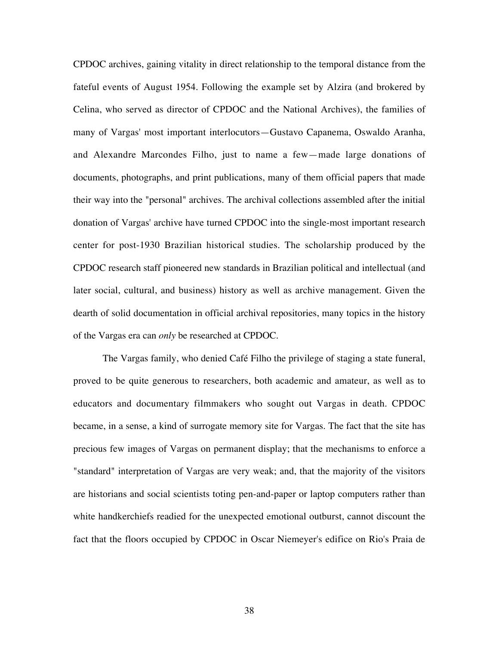CPDOC archives, gaining vitality in direct relationship to the temporal distance from the fateful events of August 1954. Following the example set by Alzira (and brokered by Celina, who served as director of CPDOC and the National Archives), the families of many of Vargas' most important interlocutors—Gustavo Capanema, Oswaldo Aranha, and Alexandre Marcondes Filho, just to name a few—made large donations of documents, photographs, and print publications, many of them official papers that made their way into the "personal" archives. The archival collections assembled after the initial donation of Vargas' archive have turned CPDOC into the single-most important research center for post-1930 Brazilian historical studies. The scholarship produced by the CPDOC research staff pioneered new standards in Brazilian political and intellectual (and later social, cultural, and business) history as well as archive management. Given the dearth of solid documentation in official archival repositories, many topics in the history of the Vargas era can *only* be researched at CPDOC.

The Vargas family, who denied Café Filho the privilege of staging a state funeral, proved to be quite generous to researchers, both academic and amateur, as well as to educators and documentary filmmakers who sought out Vargas in death. CPDOC became, in a sense, a kind of surrogate memory site for Vargas. The fact that the site has precious few images of Vargas on permanent display; that the mechanisms to enforce a "standard" interpretation of Vargas are very weak; and, that the majority of the visitors are historians and social scientists toting pen-and-paper or laptop computers rather than white handkerchiefs readied for the unexpected emotional outburst, cannot discount the fact that the floors occupied by CPDOC in Oscar Niemeyer's edifice on Rio's Praia de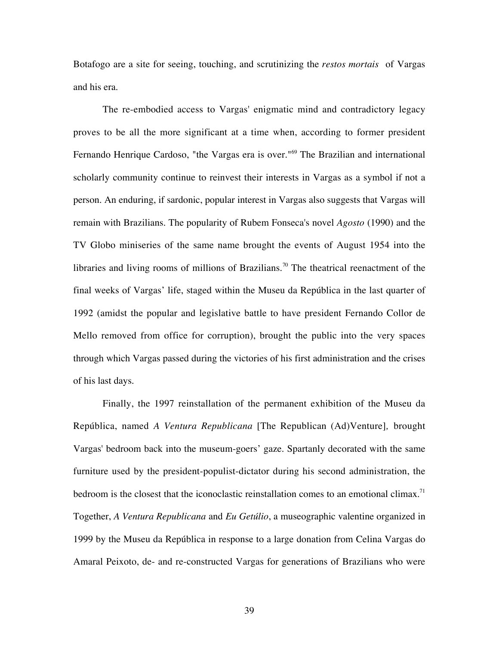Botafogo are a site for seeing, touching, and scrutinizing the *restos mortais* of Vargas and his era.

The re-embodied access to Vargas' enigmatic mind and contradictory legacy proves to be all the more significant at a time when, according to former president Fernando Henrique Cardoso, "the Vargas era is over."<sup>69</sup> The Brazilian and international scholarly community continue to reinvest their interests in Vargas as a symbol if not a person. An enduring, if sardonic, popular interest in Vargas also suggests that Vargas will remain with Brazilians. The popularity of Rubem Fonseca's novel *Agosto* (1990) and the TV Globo miniseries of the same name brought the events of August 1954 into the libraries and living rooms of millions of Brazilians.<sup>70</sup> The theatrical reenactment of the final weeks of Vargas' life, staged within the Museu da República in the last quarter of 1992 (amidst the popular and legislative battle to have president Fernando Collor de Mello removed from office for corruption), brought the public into the very spaces through which Vargas passed during the victories of his first administration and the crises of his last days.

Finally, the 1997 reinstallation of the permanent exhibition of the Museu da República, named *A Ventura Republicana* [The Republican (Ad)Venture]*,* brought Vargas' bedroom back into the museum-goers' gaze. Spartanly decorated with the same furniture used by the president-populist-dictator during his second administration, the bedroom is the closest that the iconoclastic reinstallation comes to an emotional climax.<sup>71</sup> Together, *A Ventura Republicana* and *Eu Getúlio*, a museographic valentine organized in 1999 by the Museu da República in response to a large donation from Celina Vargas do Amaral Peixoto, de- and re-constructed Vargas for generations of Brazilians who were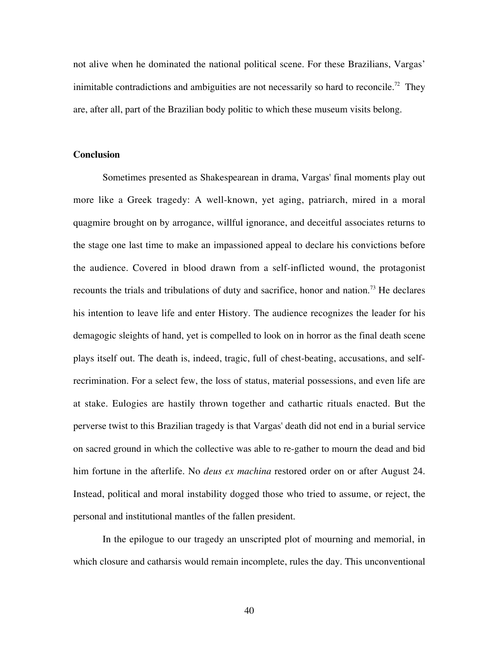not alive when he dominated the national political scene. For these Brazilians, Vargas' inimitable contradictions and ambiguities are not necessarily so hard to reconcile.<sup>72</sup> They are, after all, part of the Brazilian body politic to which these museum visits belong.

## **Conclusion**

Sometimes presented as Shakespearean in drama, Vargas' final moments play out more like a Greek tragedy: A well-known, yet aging, patriarch, mired in a moral quagmire brought on by arrogance, willful ignorance, and deceitful associates returns to the stage one last time to make an impassioned appeal to declare his convictions before the audience. Covered in blood drawn from a self-inflicted wound, the protagonist recounts the trials and tribulations of duty and sacrifice, honor and nation.<sup>73</sup> He declares his intention to leave life and enter History. The audience recognizes the leader for his demagogic sleights of hand, yet is compelled to look on in horror as the final death scene plays itself out. The death is, indeed, tragic, full of chest-beating, accusations, and selfrecrimination. For a select few, the loss of status, material possessions, and even life are at stake. Eulogies are hastily thrown together and cathartic rituals enacted. But the perverse twist to this Brazilian tragedy is that Vargas' death did not end in a burial service on sacred ground in which the collective was able to re-gather to mourn the dead and bid him fortune in the afterlife. No *deus ex machina* restored order on or after August 24. Instead, political and moral instability dogged those who tried to assume, or reject, the personal and institutional mantles of the fallen president.

In the epilogue to our tragedy an unscripted plot of mourning and memorial, in which closure and catharsis would remain incomplete, rules the day. This unconventional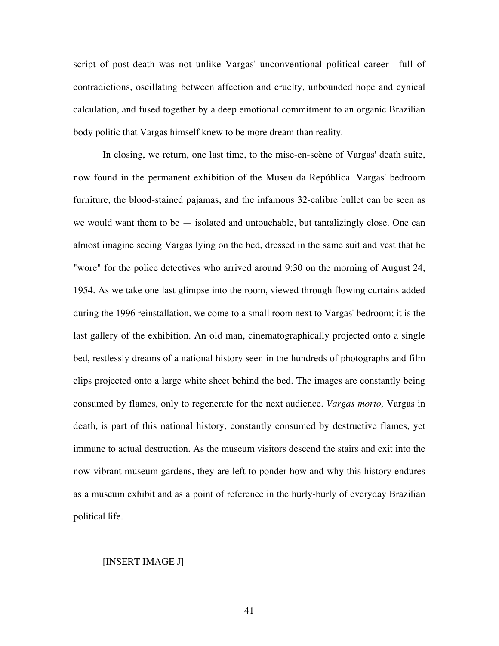script of post-death was not unlike Vargas' unconventional political career—full of contradictions, oscillating between affection and cruelty, unbounded hope and cynical calculation, and fused together by a deep emotional commitment to an organic Brazilian body politic that Vargas himself knew to be more dream than reality.

In closing, we return, one last time, to the mise-en-scène of Vargas' death suite, now found in the permanent exhibition of the Museu da República. Vargas' bedroom furniture, the blood-stained pajamas, and the infamous 32-calibre bullet can be seen as we would want them to be — isolated and untouchable, but tantalizingly close. One can almost imagine seeing Vargas lying on the bed, dressed in the same suit and vest that he "wore" for the police detectives who arrived around 9:30 on the morning of August 24, 1954. As we take one last glimpse into the room, viewed through flowing curtains added during the 1996 reinstallation, we come to a small room next to Vargas' bedroom; it is the last gallery of the exhibition. An old man, cinematographically projected onto a single bed, restlessly dreams of a national history seen in the hundreds of photographs and film clips projected onto a large white sheet behind the bed. The images are constantly being consumed by flames, only to regenerate for the next audience. *Vargas morto,* Vargas in death*,* is part of this national history, constantly consumed by destructive flames, yet immune to actual destruction. As the museum visitors descend the stairs and exit into the now-vibrant museum gardens, they are left to ponder how and why this history endures as a museum exhibit and as a point of reference in the hurly-burly of everyday Brazilian political life.

#### [INSERT IMAGE J]

41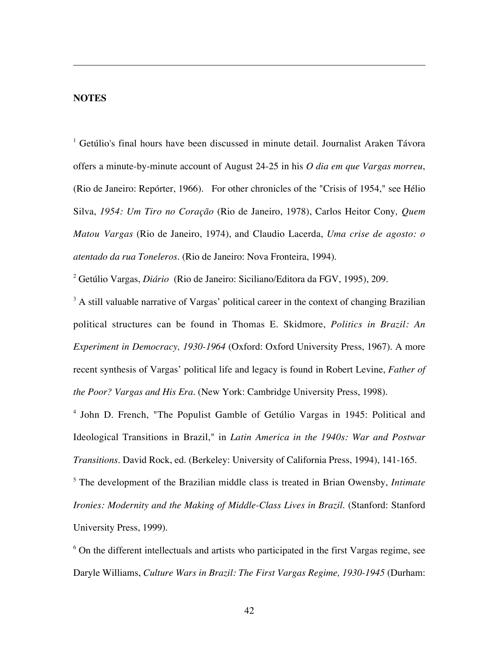## **NOTES**

 $\overline{a}$ 

<sup>1</sup> Getúlio's final hours have been discussed in minute detail. Journalist Araken Távora offers a minute-by-minute account of August 24-25 in his *O dia em que Vargas morreu*, (Rio de Janeiro: Repórter, 1966). For other chronicles of the "Crisis of 1954," see Hélio Silva, *1954: Um Tiro no Coração* (Rio de Janeiro, 1978), Carlos Heitor Cony*, Quem Matou Vargas* (Rio de Janeiro, 1974), and Claudio Lacerda, *Uma crise de agosto: o atentado da rua Toneleros*. (Rio de Janeiro: Nova Fronteira, 1994).

2 Getúlio Vargas, *Diário* (Rio de Janeiro: Siciliano/Editora da FGV, 1995), 209.

 $3$  A still valuable narrative of Vargas' political career in the context of changing Brazilian political structures can be found in Thomas E. Skidmore, *Politics in Brazil: An Experiment in Democracy, 1930-1964* (Oxford: Oxford University Press, 1967). A more recent synthesis of Vargas' political life and legacy is found in Robert Levine, *Father of the Poor? Vargas and His Era*. (New York: Cambridge University Press, 1998).

<sup>4</sup> John D. French, "The Populist Gamble of Getúlio Vargas in 1945: Political and Ideological Transitions in Brazil," in *Latin America in the 1940s: War and Postwar Transitions*. David Rock, ed. (Berkeley: University of California Press, 1994), 141-165.

<sup>5</sup> The development of the Brazilian middle class is treated in Brian Owensby, *Intimate Ironies: Modernity and the Making of Middle-Class Lives in Brazil*. (Stanford: Stanford University Press, 1999).

 $6$  On the different intellectuals and artists who participated in the first Vargas regime, see Daryle Williams, *Culture Wars in Brazil: The First Vargas Regime, 1930-1945* (Durham: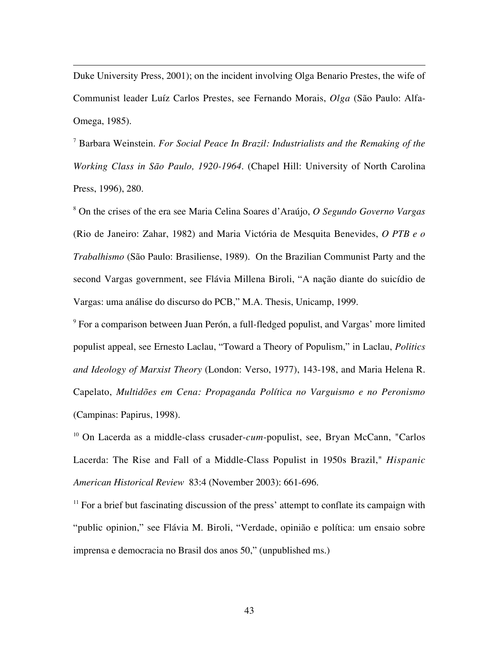Duke University Press, 2001); on the incident involving Olga Benario Prestes, the wife of Communist leader Luíz Carlos Prestes, see Fernando Morais, *Olga* (São Paulo: Alfa-Omega, 1985).

 $\overline{a}$ 

<sup>7</sup> Barbara Weinstein. *For Social Peace In Brazil: Industrialists and the Remaking of the Working Class in São Paulo, 1920-1964*. (Chapel Hill: University of North Carolina Press, 1996), 280.

<sup>8</sup> On the crises of the era see Maria Celina Soares d'Araújo, *O Segundo Governo Vargas* (Rio de Janeiro: Zahar, 1982) and Maria Victória de Mesquita Benevides, *O PTB e o Trabalhismo* (São Paulo: Brasiliense, 1989). On the Brazilian Communist Party and the second Vargas government, see Flávia Millena Biroli, "A nação diante do suicídio de Vargas: uma análise do discurso do PCB," M.A. Thesis, Unicamp, 1999.

 $9^9$  For a comparison between Juan Perón, a full-fledged populist, and Vargas' more limited populist appeal, see Ernesto Laclau, "Toward a Theory of Populism," in Laclau, *Politics and Ideology of Marxist Theory* (London: Verso, 1977), 143-198, and Maria Helena R. Capelato, *Multidões em Cena: Propaganda Política no Varguismo e no Peronismo* (Campinas: Papirus, 1998).

<sup>10</sup> On Lacerda as a middle-class crusader-*cum*-populist, see, Bryan McCann, "Carlos" Lacerda: The Rise and Fall of a Middle-Class Populist in 1950s Brazil," *Hispanic American Historical Review* 83:4 (November 2003): 661-696.

 $11$  For a brief but fascinating discussion of the press' attempt to conflate its campaign with "public opinion," see Flávia M. Biroli, "Verdade, opinião e política: um ensaio sobre imprensa e democracia no Brasil dos anos 50," (unpublished ms.)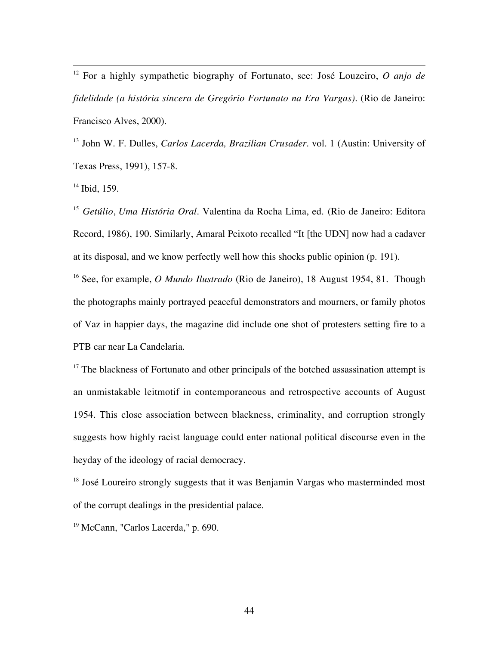12 For a highly sympathetic biography of Fortunato, see: José Louzeiro, *O anjo de fidelidade (a história sincera de Gregório Fortunato na Era Vargas)*. (Rio de Janeiro: Francisco Alves, 2000).

<sup>13</sup> John W. F. Dulles, *Carlos Lacerda, Brazilian Crusader*. vol. 1 (Austin: University of Texas Press, 1991), 157-8.

<sup>14</sup> Ibid, 159.

<sup>15</sup> *Getúlio*, *Uma História Oral*. Valentina da Rocha Lima, ed. (Rio de Janeiro: Editora Record, 1986), 190. Similarly, Amaral Peixoto recalled "It [the UDN] now had a cadaver at its disposal, and we know perfectly well how this shocks public opinion (p. 191).

<sup>16</sup> See, for example, *O Mundo Ilustrado* (Rio de Janeiro), 18 August 1954, 81. Though the photographs mainly portrayed peaceful demonstrators and mourners, or family photos of Vaz in happier days, the magazine did include one shot of protesters setting fire to a PTB car near La Candelaria.

 $17$  The blackness of Fortunato and other principals of the botched assassination attempt is an unmistakable leitmotif in contemporaneous and retrospective accounts of August 1954. This close association between blackness, criminality, and corruption strongly suggests how highly racist language could enter national political discourse even in the heyday of the ideology of racial democracy.

<sup>18</sup> José Loureiro strongly suggests that it was Benjamin Vargas who masterminded most of the corrupt dealings in the presidential palace.

<sup>19</sup> McCann, "Carlos Lacerda," p. 690.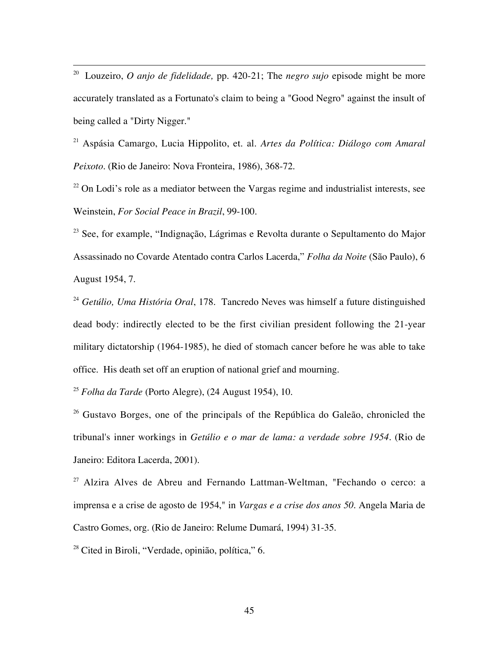20 Louzeiro, *O anjo de fidelidade,* pp. 420-21; The *negro sujo* episode might be more accurately translated as a Fortunato's claim to being a "Good Negro" against the insult of being called a "Dirty Nigger."

<sup>21</sup> Aspásia Camargo, Lucia Hippolito, et. al. *Artes da Política: Diálogo com Amaral Peixoto*. (Rio de Janeiro: Nova Fronteira, 1986), 368-72.

 $22$  On Lodi's role as a mediator between the Vargas regime and industrialist interests, see Weinstein, *For Social Peace in Brazil*, 99-100.

<sup>23</sup> See, for example, "Indignação, Lágrimas e Revolta durante o Sepultamento do Major Assassinado no Covarde Atentado contra Carlos Lacerda," *Folha da Noite* (São Paulo), 6 August 1954, 7.

<sup>24</sup> *Getúlio, Uma História Oral*, 178. Tancredo Neves was himself a future distinguished dead body: indirectly elected to be the first civilian president following the 21-year military dictatorship (1964-1985), he died of stomach cancer before he was able to take office. His death set off an eruption of national grief and mourning.

<sup>25</sup> *Folha da Tarde* (Porto Alegre), (24 August 1954), 10.

<sup>26</sup> Gustavo Borges, one of the principals of the República do Galeão, chronicled the tribunal's inner workings in *Getúlio e o mar de lama: a verdade sobre 1954*. (Rio de Janeiro: Editora Lacerda, 2001).

 $27$  Alzira Alves de Abreu and Fernando Lattman-Weltman, "Fechando o cerco: a imprensa e a crise de agosto de 1954," in *Vargas e a crise dos anos 50*. Angela Maria de Castro Gomes, org. (Rio de Janeiro: Relume Dumará, 1994) 31-35.

<sup>28</sup> Cited in Biroli, "Verdade, opinião, política," 6.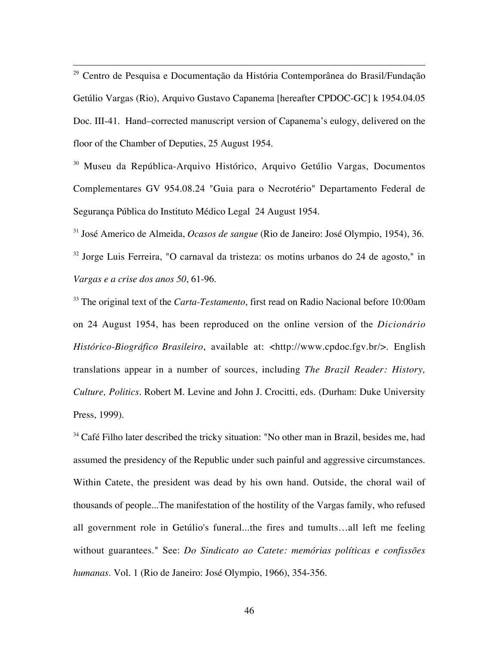29 Centro de Pesquisa e Documentação da História Contemporânea do Brasil/Fundação Getúlio Vargas (Rio), Arquivo Gustavo Capanema [hereafter CPDOC-GC] k 1954.04.05 Doc. III-41. Hand–corrected manuscript version of Capanema's eulogy, delivered on the floor of the Chamber of Deputies, 25 August 1954.

<sup>30</sup> Museu da República-Arquivo Histórico, Arquivo Getúlio Vargas, Documentos Complementares GV 954.08.24 "Guia para o Necrotério" Departamento Federal de Segurança Pública do Instituto Médico Legal 24 August 1954.

31 José Americo de Almeida, *Ocasos de sangue* (Rio de Janeiro: José Olympio, 1954), 36.

<sup>32</sup> Jorge Luis Ferreira, "O carnaval da tristeza: os motins urbanos do 24 de agosto," in *Vargas e a crise dos anos 50*, 61-96.

<sup>33</sup> The original text of the *Carta-Testamento*, first read on Radio Nacional before 10:00am on 24 August 1954, has been reproduced on the online version of the *Dicionário Histórico-Biográfico Brasileiro*, available at: <http://www.cpdoc.fgv.br/>. English translations appear in a number of sources, including *The Brazil Reader: History, Culture, Politics*. Robert M. Levine and John J. Crocitti, eds. (Durham: Duke University Press, 1999).

 $34$  Café Filho later described the tricky situation: "No other man in Brazil, besides me, had assumed the presidency of the Republic under such painful and aggressive circumstances. Within Catete, the president was dead by his own hand. Outside, the choral wail of thousands of people...The manifestation of the hostility of the Vargas family, who refused all government role in Getúlio's funeral...the fires and tumults…all left me feeling without guarantees." See: *Do Sindicato ao Catete: memórias políticas e confissões humanas*. Vol. 1 (Rio de Janeiro: José Olympio, 1966), 354-356.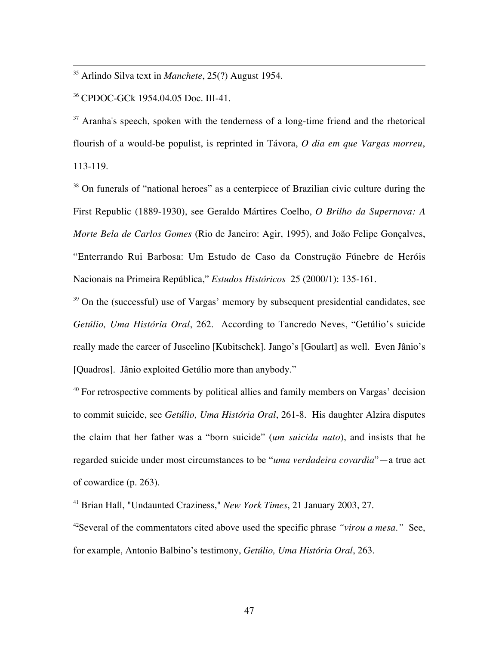35 Arlindo Silva text in *Manchete*, 25(?) August 1954.

36 CPDOC-GCk 1954.04.05 Doc. III-41.

 $37$  Aranha's speech, spoken with the tenderness of a long-time friend and the rhetorical flourish of a would-be populist, is reprinted in Távora, *O dia em que Vargas morreu*, 113-119.

<sup>38</sup> On funerals of "national heroes" as a centerpiece of Brazilian civic culture during the First Republic (1889-1930), see Geraldo Mártires Coelho, *O Brilho da Supernova: A Morte Bela de Carlos Gomes* (Rio de Janeiro: Agir, 1995), and João Felipe Gonçalves, "Enterrando Rui Barbosa: Um Estudo de Caso da Construção Fúnebre de Heróis Nacionais na Primeira República," *Estudos Históricos* 25 (2000/1): 135-161.

 $39$  On the (successful) use of Vargas' memory by subsequent presidential candidates, see *Getúlio, Uma História Oral*, 262. According to Tancredo Neves, "Getúlio's suicide really made the career of Juscelino [Kubitschek]. Jango's [Goulart] as well. Even Jânio's [Quadros]. Jânio exploited Getúlio more than anybody."

 $40$  For retrospective comments by political allies and family members on Vargas' decision to commit suicide, see *Getúlio, Uma História Oral*, 261-8. His daughter Alzira disputes the claim that her father was a "born suicide" (*um suicida nato*), and insists that he regarded suicide under most circumstances to be "*uma verdadeira covardia*"—a true act of cowardice (p. 263).

41 Brian Hall, "Undaunted Craziness," *New York Times*, 21 January 2003, 27.

<sup>42</sup>Several of the commentators cited above used the specific phrase *"virou a mesa."* See, for example, Antonio Balbino's testimony, *Getúlio, Uma História Oral*, 263.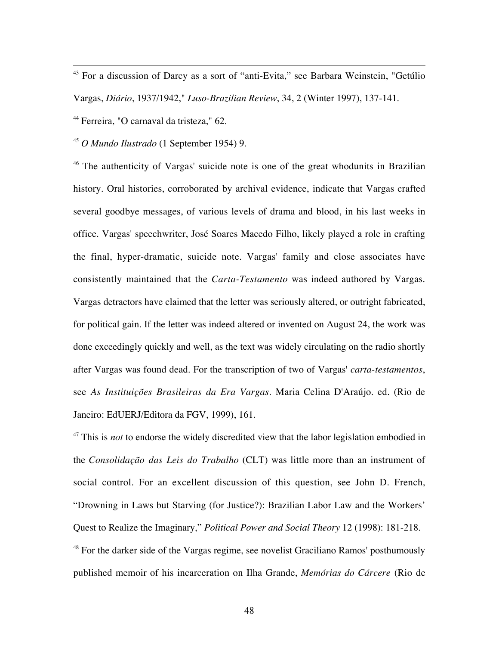43 For a discussion of Darcy as a sort of "anti-Evita," see Barbara Weinstein, "Getúlio Vargas, *Diário*, 1937/1942," *Luso-Brazilian Review*, 34, 2 (Winter 1997), 137-141.

44 Ferreira, "O carnaval da tristeza," 62.

<sup>45</sup> *O Mundo Ilustrado* (1 September 1954) 9.

<sup>46</sup> The authenticity of Vargas' suicide note is one of the great whodunits in Brazilian history. Oral histories, corroborated by archival evidence, indicate that Vargas crafted several goodbye messages, of various levels of drama and blood, in his last weeks in office. Vargas' speechwriter, José Soares Macedo Filho, likely played a role in crafting the final, hyper-dramatic, suicide note. Vargas' family and close associates have consistently maintained that the *Carta-Testamento* was indeed authored by Vargas. Vargas detractors have claimed that the letter was seriously altered, or outright fabricated, for political gain. If the letter was indeed altered or invented on August 24, the work was done exceedingly quickly and well, as the text was widely circulating on the radio shortly after Vargas was found dead. For the transcription of two of Vargas' *carta-testamentos*, see *As Instituições Brasileiras da Era Vargas*. Maria Celina D'Araújo. ed. (Rio de Janeiro: EdUERJ/Editora da FGV, 1999), 161.

<sup>47</sup> This is *not* to endorse the widely discredited view that the labor legislation embodied in the *Consolidação das Leis do Trabalho* (CLT) was little more than an instrument of social control. For an excellent discussion of this question, see John D. French, "Drowning in Laws but Starving (for Justice?): Brazilian Labor Law and the Workers' Quest to Realize the Imaginary," *Political Power and Social Theory* 12 (1998): 181-218.

<sup>48</sup> For the darker side of the Vargas regime, see novelist Graciliano Ramos' posthumously published memoir of his incarceration on Ilha Grande, *Memórias do Cárcere* (Rio de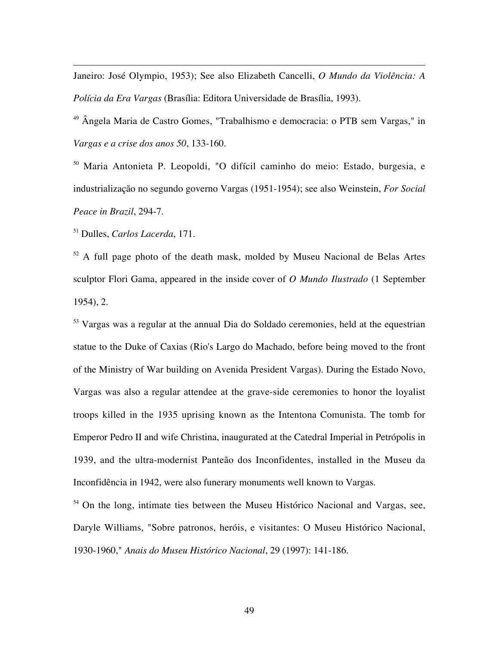Janeiro: José Olympio, 1953); See also Elizabeth Cancelli, *O Mundo da Violência: A Polícia da Era Vargas* (Brasília: Editora Universidade de Brasília, 1993).

<sup>49</sup> Ângela Maria de Castro Gomes, "Trabalhismo e democracia: o PTB sem Vargas," in *Vargas e a crise dos anos 50*, 133-160.

<sup>50</sup> Maria Antonieta P. Leopoldi, "O difícil caminho do meio: Estado, burgesia, e industrialização no segundo governo Vargas (1951-1954); see also Weinstein, *For Social Peace in Brazil*, 294-7.

51 Dulles, *Carlos Lacerda*, 171.

 $\overline{a}$ 

 $52$  A full page photo of the death mask, molded by Museu Nacional de Belas Artes sculptor Flori Gama, appeared in the inside cover of *O Mundo Ilustrado* (1 September 1954), 2.

 $53$  Vargas was a regular at the annual Dia do Soldado ceremonies, held at the equestrian statue to the Duke of Caxias (Rio's Largo do Machado, before being moved to the front of the Ministry of War building on Avenida President Vargas). During the Estado Novo, Vargas was also a regular attendee at the grave-side ceremonies to honor the loyalist troops killed in the 1935 uprising known as the Intentona Comunista. The tomb for Emperor Pedro II and wife Christina, inaugurated at the Catedral Imperial in Petrópolis in 1939, and the ultra-modernist Panteão dos Inconfidentes, installed in the Museu da Inconfidência in 1942, were also funerary monuments well known to Vargas.

 $54$  On the long, intimate ties between the Museu Histórico Nacional and Vargas, see, Daryle Williams, "Sobre patronos, heróis, e visitantes: O Museu Histórico Nacional, 1930-1960," *Anais do Museu Histórico Nacional*, 29 (1997): 141-186.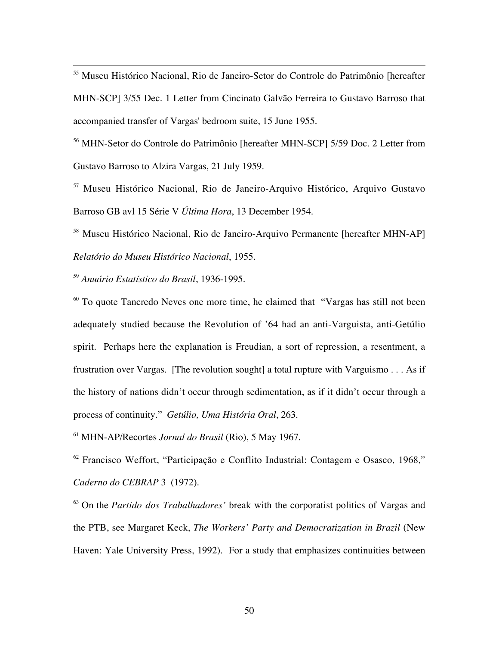55 Museu Histórico Nacional, Rio de Janeiro-Setor do Controle do Patrimônio [hereafter MHN-SCP] 3/55 Dec. 1 Letter from Cincinato Galvão Ferreira to Gustavo Barroso that accompanied transfer of Vargas' bedroom suite, 15 June 1955.

<sup>56</sup> MHN-Setor do Controle do Patrimônio [hereafter MHN-SCP] 5/59 Doc. 2 Letter from Gustavo Barroso to Alzira Vargas, 21 July 1959.

<sup>57</sup> Museu Histórico Nacional, Rio de Janeiro-Arquivo Histórico, Arquivo Gustavo Barroso GB avl 15 Série V *Última Hora*, 13 December 1954.

<sup>58</sup> Museu Histórico Nacional, Rio de Janeiro-Arquivo Permanente [hereafter MHN-AP] *Relatório do Museu Histórico Nacional*, 1955.

<sup>59</sup> *Anuário Estatístico do Brasil*, 1936-1995.

 $60$  To quote Tancredo Neves one more time, he claimed that "Vargas has still not been adequately studied because the Revolution of '64 had an anti-Varguista, anti-Getúlio spirit. Perhaps here the explanation is Freudian, a sort of repression, a resentment, a frustration over Vargas. [The revolution sought] a total rupture with Varguismo . . . As if the history of nations didn't occur through sedimentation, as if it didn't occur through a process of continuity." *Getúlio, Uma História Oral*, 263.

61 MHN-AP/Recortes *Jornal do Brasil* (Rio), 5 May 1967.

 $62$  Francisco Weffort, "Participação e Conflito Industrial: Contagem e Osasco, 1968," *Caderno do CEBRAP* 3 (1972).

<sup>63</sup> On the *Partido dos Trabalhadores'* break with the corporatist politics of Vargas and the PTB, see Margaret Keck, *The Workers' Party and Democratization in Brazil* (New Haven: Yale University Press, 1992). For a study that emphasizes continuities between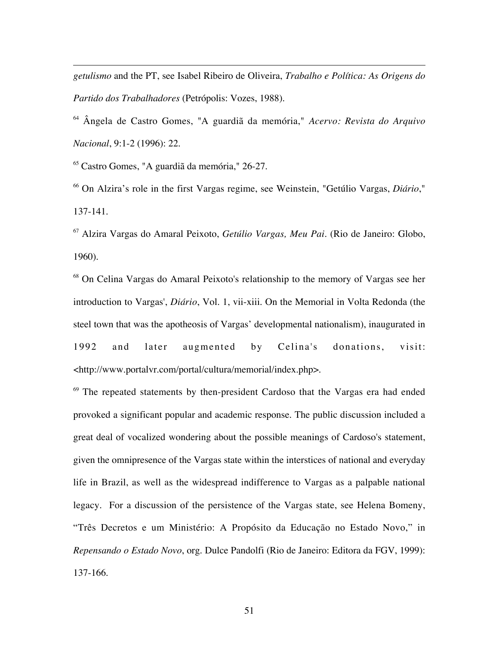*getulismo* and the PT, see Isabel Ribeiro de Oliveira, *Trabalho e Política: As Origens do Partido dos Trabalhadores* (Petrópolis: Vozes, 1988).

<sup>64</sup> Ângela de Castro Gomes, "A guardiã da memória," *Acervo: Revista do Arquivo Nacional*, 9:1-2 (1996): 22.

65 Castro Gomes, "A guardiã da memória," 26-27.

 $\overline{a}$ 

<sup>66</sup> On Alzira's role in the first Vargas regime, see Weinstein, "Getúlio Vargas, *Diário*," 137-141.

<sup>67</sup> Alzira Vargas do Amaral Peixoto, *Getúlio Vargas, Meu Pai*. (Rio de Janeiro: Globo, 1960).

<sup>68</sup> On Celina Vargas do Amaral Peixoto's relationship to the memory of Vargas see her introduction to Vargas', *Diário*, Vol. 1, vii-xiii. On the Memorial in Volta Redonda (the steel town that was the apotheosis of Vargas' developmental nationalism), inaugurated in 1992 and later augmented by Celina's donations, visit: <http://www.portalvr.com/portal/cultura/memorial/index.php>.

 $69$  The repeated statements by then-president Cardoso that the Vargas era had ended provoked a significant popular and academic response. The public discussion included a great deal of vocalized wondering about the possible meanings of Cardoso's statement, given the omnipresence of the Vargas state within the interstices of national and everyday life in Brazil, as well as the widespread indifference to Vargas as a palpable national legacy. For a discussion of the persistence of the Vargas state, see Helena Bomeny, "Três Decretos e um Ministério: A Propósito da Educação no Estado Novo," in *Repensando o Estado Novo*, org. Dulce Pandolfi (Rio de Janeiro: Editora da FGV, 1999): 137-166.